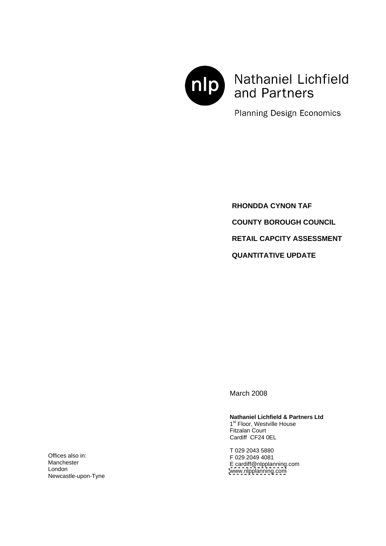

Nathaniel Lichfield and Partners

**Planning Design Economics** 

**RHONDDA CYNON TAF COUNTY BOROUGH COUNCIL RETAIL CAPCITY ASSESSMENT QUANTITATIVE UPDATE**

March 2008 **March** 2008

**Nathaniel Lichfield & Partners Ltd** 1<sup>st</sup> Floor, Westville House **Follow** <sup>st</sup> Floor, Westville House Fitzalan Court Cardiff CF24 0EL

T 029 2043 5880 F 029 2049 4081 E cardiff@nlpplanning.com [www.nlpplanning.com](http://www.nlpplanning.com) Offices also in:<br>
Offices also in:<br>
Manchester
T 029 2049 4081<br>
F oz9 2049 4081<br>
F cardiff@plpplar E cardiff@nlpplanning.com London **Communist Communist Communist Communist Communist Communist Communist Communist Communist Communist Communist Communist Communist Communist Communist Communist Communist Communist Communist Communist Communist Comm** 

Newcastle-upon-Tyne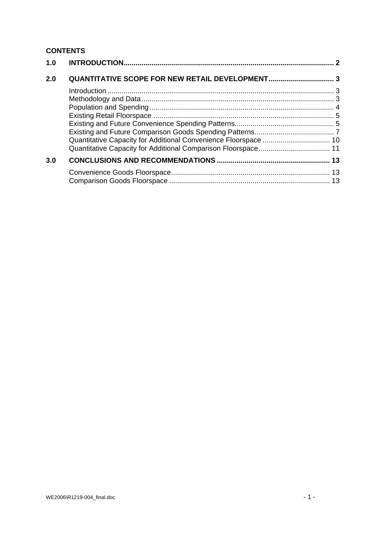|     | <b>CONTENTS</b>                                 |  |
|-----|-------------------------------------------------|--|
| 1.0 | <b>INTRODUCTION</b>                             |  |
| 2.0 | QUANTITATIVE SCOPE FOR NEW RETAIL DEVELOPMENT 3 |  |
|     |                                                 |  |
|     |                                                 |  |
|     |                                                 |  |
| 3.0 |                                                 |  |
|     | Convenience Goods Floorspace                    |  |
|     |                                                 |  |
|     |                                                 |  |
|     |                                                 |  |
|     |                                                 |  |
|     | $-1 -$<br>WE2006\R1219-004_final.doc            |  |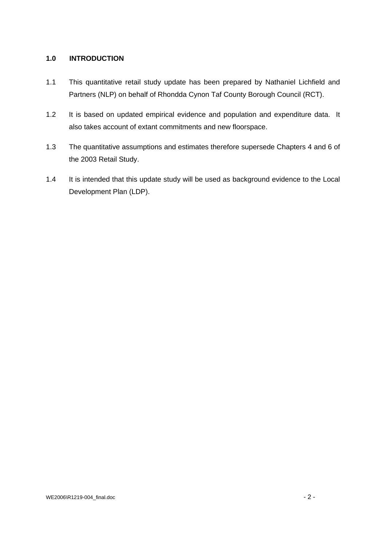# **1.0 INTRODUCTION**

- 1.1 This quantitative retail study update has been prepared by Nathaniel Lichfield and Partners (NLP) on behalf of Rhondda Cynon Taf County Borough Council (RCT).
- 1.2 It is based on updated empirical evidence and population and expenditure data. It also takes account of extant commitments and new floorspace.
- 1.3 The quantitative assumptions and estimates therefore supersede Chapters 4 and 6 of the 2003 Retail Study.
- 1.4 It is intended that this update study will be used as background evidence to the Local Development Plan (LDP).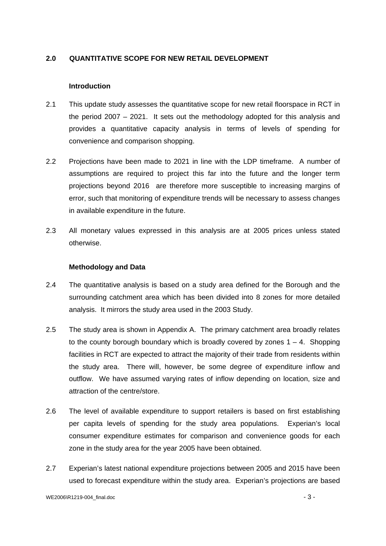# **2.0 QUANTITATIVE SCOPE FOR NEW RETAIL DEVELOPMENT**

# **Introduction**

- 2.1 This update study assesses the quantitative scope for new retail floorspace in RCT in the period 2007 – 2021. It sets out the methodology adopted for this analysis and provides a quantitative capacity analysis in terms of levels of spending for convenience and comparison shopping.
- 2.2 Projections have been made to 2021 in line with the LDP timeframe. A number of assumptions are required to project this far into the future and the longer term projections beyond 2016 are therefore more susceptible to increasing margins of error, such that monitoring of expenditure trends will be necessary to assess changes in available expenditure in the future.
- 2.3 All monetary values expressed in this analysis are at 2005 prices unless stated otherwise. The contract of the contract of the contract of the contract of the contract of the contract of the contract of the contract of the contract of the contract of the contract of the contract of the contract of the

# **Methodology and Data**

- 2.4 The quantitative analysis is based on a study area defined for the Borough and the surrounding catchment area which has been divided into 8 zones for more detailed analysis. It mirrors the study area used in the 2003 Study.
- 2.5 The study area is shown in Appendix A. The primary catchment area broadly relates to the county borough boundary which is broadly covered by zones  $1 - 4$ . Shopping facilities in RCT are expected to attract the majority of their trade from residents within the study area. There will, however, be some degree of expenditure inflow and outflow. We have assumed varying rates of inflow depending on location, size and attraction of the centre/store.
- 2.6 The level of available expenditure to support retailers is based on first establishing per capita levels of spending for the study area populations. Experian's local consumer expenditure estimates for comparison and convenience goods for each zone in the study area for the year 2005 have been obtained.
- 2.7 Experian's latest national expenditure projections between 2005 and 2015 have been used to forecast expenditure within the study area. Experian's projections are based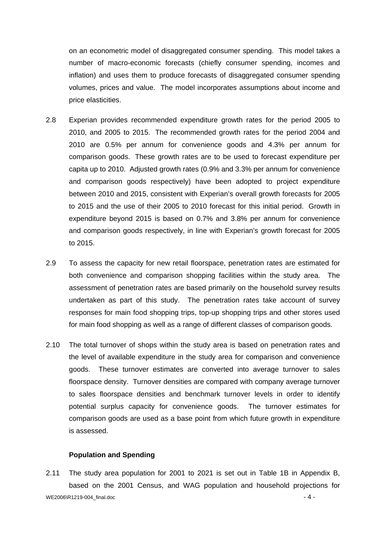on an econometric model of disaggregated consumer spending. This model takes a number of macro-economic forecasts (chiefly consumer spending, incomes and inflation) and uses them to produce forecasts of disaggregated consumer spending volumes, prices and value. The model incorporates assumptions about income and price elasticities.

- 2.8 Experian provides recommended expenditure growth rates for the period 2005 to 2010, and 2005 to 2015. The recommended growth rates for the period 2004 and 2010 are 0.5% per annum for convenience goods and 4.3% per annum for comparison goods. These growth rates are to be used to forecast expenditure per capita up to 2010. Adjusted growth rates (0.9% and 3.3% per annum for convenience and comparison goods respectively) have been adopted to project expenditure between 2010 and 2015, consistent with Experian's overall growth forecasts for 2005 to 2015 and the use of their 2005 to 2010 forecast for this initial period. Growth in expenditure beyond 2015 is based on 0.7% and 3.8% per annum for convenience and comparison goods respectively, in line with Experian's growth forecast for 2005 to 2015.
- 2.9 To assess the capacity for new retail floorspace, penetration rates are estimated for both convenience and comparison shopping facilities within the study area. The assessment of penetration rates are based primarily on the household survey results undertaken as part of this study. The penetration rates take account of survey responses for main food shopping trips, top-up shopping trips and other stores used for main food shopping as well as a range of different classes of comparison goods.
- 2.10 The total turnover of shops within the study area is based on penetration rates and the level of available expenditure in the study area for comparison and convenience goods. These turnover estimates are converted into average turnover to sales floorspace density. Turnover densities are compared with company average turnover to sales floorspace densities and benchmark turnover levels in order to identify potential surplus capacity for convenience goods. The turnover estimates for comparison goods are used as a base point from which future growth in expenditure is assessed.

### **Population and Spending**

WE2006\R1219-004\_final.doc - 4 - 2.11 The study area population for 2001 to 2021 is set out in Table 1B in Appendix B, based on the 2001 Census, and WAG population and household projections for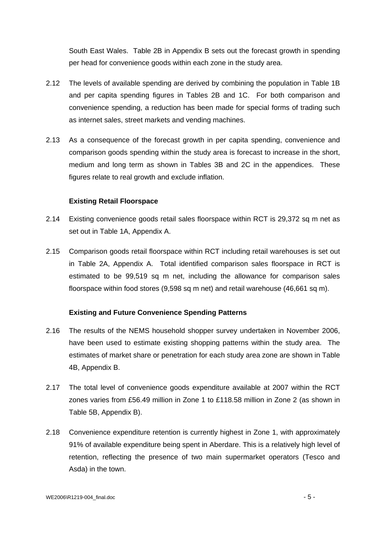South East Wales. Table 2B in Appendix B sets out the forecast growth in spending per head for convenience goods within each zone in the study area.

- 2.12 The levels of available spending are derived by combining the population in Table 1B and per capita spending figures in Tables 2B and 1C. For both comparison and convenience spending, a reduction has been made for special forms of trading such as internet sales, street markets and vending machines.
- 2.13 As a consequence of the forecast growth in per capita spending, convenience and comparison goods spending within the study area is forecast to increase in the short, medium and long term as shown in Tables 3B and 2C in the appendices. These figures relate to real growth and exclude inflation.

# **Existing Retail Floorspace**

- 2.14 Existing convenience goods retail sales floorspace within RCT is 29,372 sq m net as set out in Table 1A, Appendix A.
- 2.15 Comparison goods retail floorspace within RCT including retail warehouses is set out in Table 2A, Appendix A. Total identified comparison sales floorspace in RCT is estimated to be 99,519 sq m net, including the allowance for comparison sales floorspace within food stores (9,598 sq m net) and retail warehouse (46,661 sq m).

# **Existing and Future Convenience Spending Patterns**

- 2.16 The results of the NEMS household shopper survey undertaken in November 2006, have been used to estimate existing shopping patterns within the study area. The estimates of market share or penetration for each study area zone are shown in Table 4B, Appendix B.
- 2.17 The total level of convenience goods expenditure available at 2007 within the RCT zones varies from £56.49 million in Zone 1 to £118.58 million in Zone 2 (as shown in Table 5B, Appendix B).
- 2.18 Convenience expenditure retention is currently highest in Zone 1, with approximately 91% of available expenditure being spent in Aberdare. This is a relatively high level of retention, reflecting the presence of two main supermarket operators (Tesco and Asda) in the town.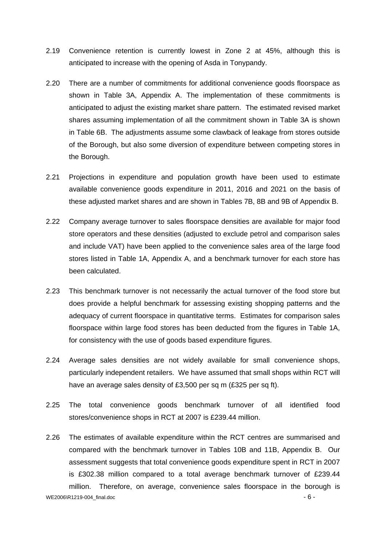- 2.19 Convenience retention is currently lowest in Zone 2 at 45%, although this is anticipated to increase with the opening of Asda in Tonypandy.
- 2.20 There are a number of commitments for additional convenience goods floorspace as shown in Table 3A, Appendix A. The implementation of these commitments is anticipated to adjust the existing market share pattern. The estimated revised market shares assuming implementation of all the commitment shown in Table 3A is shown in Table 6B. The adjustments assume some clawback of leakage from stores outside of the Borough, but also some diversion of expenditure between competing stores in the Borough.
- 2.21 Projections in expenditure and population growth have been used to estimate available convenience goods expenditure in 2011, 2016 and 2021 on the basis of these adjusted market shares and are shown in Tables 7B, 8B and 9B of Appendix B.
- 2.22 Company average turnover to sales floorspace densities are available for major food store operators and these densities (adjusted to exclude petrol and comparison sales and include VAT) have been applied to the convenience salesarea of the large food stores listed in Table 1A, Appendix A, and a benchmark turnover for each store has been calculated. The contract of the contract of the contract of the contract of the contract of the contract of the contract of the contract of the contract of the contract of the contract of the contract of the contract
- 2.23 This benchmark turnover is not necessarily the actual turnover of the food store but does provide a helpful benchmark for assessing existing shopping patterns and the adequacy of current floorspace in quantitative terms. Estimates for comparison sales floorspace within large food stores has been deducted from the figures in Table 1A, for consistency with the use of goods based expenditure figures.
- 2.24 Average sales densities are not widely available for small convenience shops, particularly independent retailers. We have assumed that small shops within RCT will have an average sales density of £3,500 per sq m (£325 per sq ft).
- 2.25 The total convenience goods benchmark turnover of all identified food stores/convenience shops in RCT at 2007 is £239.44 million.
- WE2006\R1219-004\_final.doc 6 2.26 The estimates of available expenditure within the RCT centres are summarised and compared with the benchmark turnover in Tables 10B and 11B, Appendix B. Our assessment suggests that total convenience goods expenditure spent in RCT in 2007 is £302.38 million compared to a total average benchmark turnover of £239.44 million. Therefore, on average, convenience sales floorspace in the borough is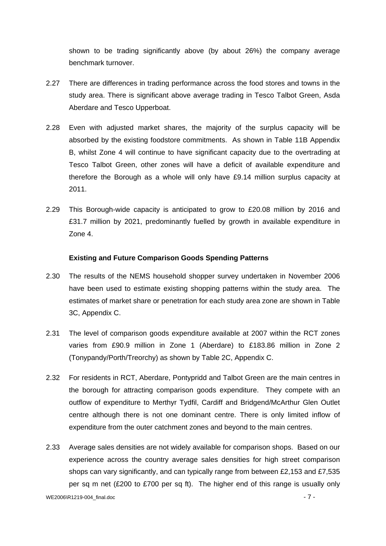shown to be trading significantly above (by about 26%) the company average benchmark turnover.

- 2.27 There are differences in trading performance across the food stores and towns in the study area. There is significant above average trading in Tesco Talbot Green, Asda Aberdare and Tesco Upperboat.
- 2.28 Even with adjusted market shares, the majority of the surplus capacity will be absorbed by the existing foodstore commitments. As shown in Table 11B Appendix B, whilst Zone 4 will continue to have significant capacity due to the overtrading at Tesco Talbot Green, other zones will have a deficit of available expenditure and therefore the Borough as a whole will only have £9.14 million surplus capacity at 2011.
- 2.29 This Borough-wide capacity is anticipated to grow to £20.08 million by 2016 and £31.7 million by 2021, predominantly fuelled by growth in available expenditure in Zone 4.

# **Existing and Future Comparison Goods Spending Patterns**

- 2.30 The results of the NEMS household shopper survey undertaken in November 2006 have been used to estimate existing shopping patterns within the study area. The estimates of market share or penetration for each study area zone are shown in Table 3C, Appendix C.
- 2.31 The level of comparison goods expenditure available at 2007 within the RCT zones varies from £90.9 million in Zone 1 (Aberdare) to £183.86 million in Zone 2 (Tonypandy/Porth/Treorchy) as shown by Table 2C, Appendix C.
- 2.32 For residents in RCT, Aberdare, Pontypridd and Talbot Green are the main centres in the borough for attracting comparison goods expenditure. They compete with an outflow of expenditure to Merthyr Tydfil, Cardiff and Bridgend/McArthur Glen Outlet centre although there is not one dominant centre. There is only limited inflow of
- expenditure from the outer catchment zones and beyond to the main centres.<br>2.33 Average sales densities are not widely available for comparison shops. Based on our experience across the country average sales densities for high street comparison shops can vary significantly, and can typically range from between £2,153 and £7,535 per sq m net (£200 to £700 per sq ft). The higher end of this range is usually only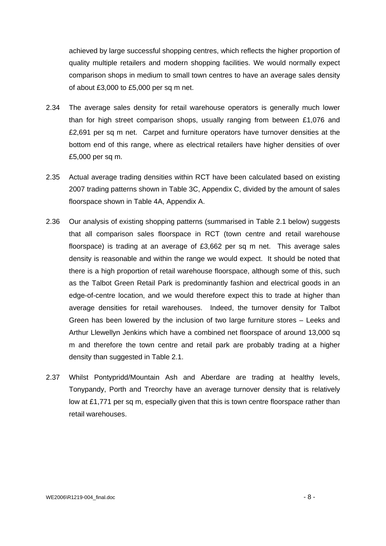achieved by large successful shopping centres, which reflects the higher proportion of quality multiple retailers and modern shopping facilities. We would normally expect comparison shops in medium to small town centres to have an average sales density of about £3,000 to £5,000 per sq m net.

- 2.34 The average sales density for retail warehouse operators is generally much lower than for high street comparison shops, usually ranging from between £1,076 and £2,691 per sq m net. Carpet and furniture operators have turnover densities at the bottom end of this range, where as electrical retailers have higher densities of over
- £5,000 per sq m. 2.35 Actual average trading densities within RCT have been calculated based on existing 2007 trading patterns shown in Table 3C, Appendix C, divided by the amount of sales floorspace shown in Table 4A, Appendix A.
- 2.36 Our analysis of existing shopping patterns (summarised in Table 2.1 below) suggests that all comparison sales floorspace in RCT (town centre and retail warehouse floorspace) is trading at an average of £3,662 per sq m net. This average sales density is reasonable and within the range we would expect. It should be noted that there is a high proportion of retail warehouse floorspace, although some of this, such as the Talbot Green Retail Park is predominantly fashion and electrical goods in an edge-of-centre location, and we would therefore expect this to trade at higher than average densities for retail warehouses. Indeed, the turnover density for Talbot Green has been lowered by the inclusion of two large furniture stores – Leeks and Arthur Llewellyn Jenkins which have a combined net floorspace of around 13,000 sq m and therefore the town centre and retail park are probably trading at a higher density than suggested in Table 2.1.
- 2.37 Whilst Pontypridd/Mountain Ash and Aberdare are trading at healthy levels, Tonypandy, Porth and Treorchy have an average turnover density that is relatively low at £1,771 per sq m, especially given that this is town centre floorspace rather than retail warehouses.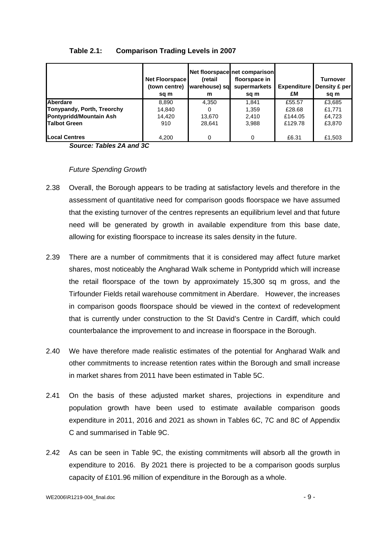|                                                       |                       |         | Net floorspace net comparison |         |                  |
|-------------------------------------------------------|-----------------------|---------|-------------------------------|---------|------------------|
|                                                       |                       | (retail |                               |         |                  |
|                                                       | <b>Net Floorspace</b> |         | floorspace in                 |         | <b>Turnover</b>  |
|                                                       |                       |         |                               |         |                  |
|                                                       |                       |         | sa m                          |         |                  |
|                                                       |                       |         |                               |         |                  |
| <b>Aberdare</b>                                       |                       | 4,350   |                               | וט.טטב  | £3,68            |
| Tonypandy, Porth, Treorchy<br>Pontypridd/Mountain Ash | 14,840                |         | 1,359                         | £28.68  | £1,771           |
|                                                       |                       |         |                               |         |                  |
|                                                       | 14,420                | 13,670  | 2,410                         | £144.05 |                  |
| <b>Talbot Green</b>                                   |                       | 28,641  | 3,988                         | £129.78 | £4,723<br>£3,870 |
|                                                       |                       |         |                               |         |                  |
|                                                       |                       |         |                               |         |                  |
| <b>Local Centres</b>                                  |                       |         |                               | £6.31   |                  |

# **Table 2.1: Comparison Trading Levels in 2007**

**Source: Tables 2A and 3C** 

# Future Spending Growth **Example 2008 Future Spending Growth**

- 2.38 Overall, the Borough appears to be trading at satisfactory levels and therefore in the assessment of quantitative need for comparison goods floorspace we have assumed that the existing turnover of the centres represents an equilibrium level and that future need will be generated by growth in available expenditure from this base date,<br>allowing for existing floorspace to increase its sales density in the future.
- 2.39 There are a number of commitments that it is considered may affect future market shares, most noticeably the Angharad Walk scheme in Pontypridd which will increase the retail floorspace of the town by approximately 15,300 sq m gross, and the Tirfounder Fields retail warehouse commitment in Aberdare. However, the increases in comparison goods floorspace should be viewed in the context of redevelopment that is currently under construction to the St David's Centre in Cardiff, which could
- counterbalance the improvement to and increase in floorspace in the Borough.<br>2.40 We have therefore made realistic estimates of the potential for Angharad Walk and other commitments to increase retention rates within the Borough and small increase in market shares from 2011 have been estimated in Table 5C.
- 2.41 On the basis of these adjusted market shares, projections in expenditure and population growth have been used to estimate available comparison goods expenditure in 2011, 2016 and 2021 as shown in Tables 6C, 7C and 8C of Appendix C and summarised in Table 9C.
- 2.42 As can be seen in Table 9C, the existing commitments will absorb all the growth in expenditure to 2016. By 2021 there is projected to be a comparison goods surplus capacity of £101.96 million of expenditure in the Borough as a whole.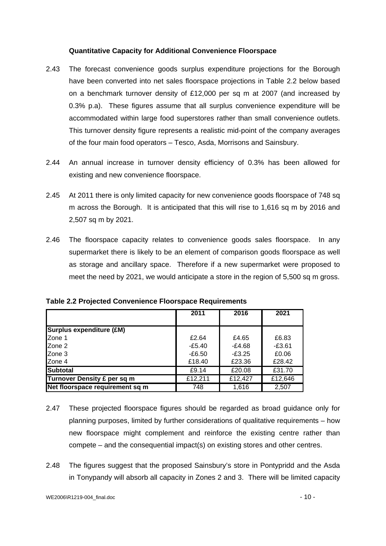- **Cuantitative Capacity for Additional Convenience Floorspace**<br>
The lonesce convenience oposite surplus expendium projections Total to the Botough<br>
These been convented into net states for Space projections in Table 2.2 bel 2.43 The forecast convenience goods surplus expenditure projections for the Borough have been converted into net sales floorspace projections in Table 2.2 below based on a benchmark turnover density of £12,000 per sq m at 2007 (and increased by 0.3% p.a). These figures assume that all surplus convenience expenditure will be accommodated within large food superstores rather than small convenience outlets. This turnover density figure represents a realistic mid-point of the company averages of the four main food operators – Tesco, Asda, Morrisons and Sainsbury.
- 2.44 An annual increase in turnover density efficiency of 0.3% has been allowed for existing and new convenience floorspace.
- 2.45 At 2011 there is only limited capacity for new convenience goods floorspace of 748 sq m across the Borough. It is anticipated that this will rise to 1,616 sq m by 2016 and 2,507 sq m by 2021.
- 2.46 The floorspace capacity relates to convenience goods sales floorspace. In any supermarket there is likely to be an element of comparison goods floorspace as well as storage and ancillary space. Therefore if a new supermarket were proposed to meet the need by 2021, we would anticipate a store in the region of 5,500 sq m gross.

|                                 | <b>ግበ</b> 1<br>ZUII   | 2016     | 2021     |
|---------------------------------|-----------------------|----------|----------|
|                                 |                       |          |          |
| <b>Surplus expenditure (£M)</b> |                       |          |          |
|                                 | £2.64                 | £4.65    | £6.83    |
| $n -$                           | -£5.40                | $-£4.68$ | $-£3.61$ |
| ` ^^^                           | $-£6.50$              | $-£3.25$ | £0.06    |
|                                 | £18.40                | £23.36   | £28.42   |
| Subtota                         | £9.14                 | £20.08   | £31.70   |
| Turnover Density £ per sq m     | $\overline{£12,}$ 211 | £12,427  | £12,646  |
| Net floorspace requirement sq m | 748                   | 1,616    | 2,507    |

**Table 2.2 Projected Convenience Floorspace Requirements**

- 2.47 These projected floorspace figures should be regarded as broad guidance only for planning purposes, limited by further considerations of qualitative requirements – how new floorspace might complement and reinforce the existing centre rather than compete – and the consequential impact(s) on existing stores and other centres.
- 2.48 The figures suggest that the proposed Sainsbury's store in Pontypridd and the Asda in Tonypandy will absorb all capacity in Zones 2 and 3. There will be limited capacity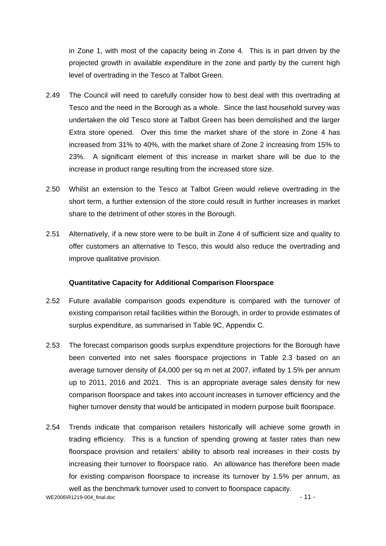in Zone 1, with most of the capacity being in Zone 4. This is in part driven by the projected growth in available expenditure in the zone and partlyby the current high level of overtrading in the Tesco at Talbot Green.

- 2.49 The Council will need to carefully consider how to best deal with this overtrading at Tesco and the need in the Borough as a whole. Since the last household survey was undertaken the old Tesco store at Talbot Green has been demolished and the larger Extra store opened. Over this time the market share of the store in Zone 4 has increased from 31% to 40%, with the market share of Zone 2 increasing from 15% to 23%. A significant element of this increase in market share will be due to the increase in product range resulting from the increased store size.
- 2.50 Whilst an extension to the Tesco at Talbot Green would relieve overtrading in the short term, a further extension of the store could result in further increases in market share to the detriment of other stores in the Borough.
- 2.51 Alternatively, if a new store were to be built in Zone 4 of sufficient size and quality to offer customers an alternative to Tesco, this would also reduce the overtrading and improve qualitative provision.

## **Quantitative Capacity for Additional Comparison Floorspace**

- 2.52 Future available comparison goods expenditure is compared with the turnover of existing comparison retail facilities within the Borough, in order to provide estimates of surplus expenditure, as summarised in Table 9C, Appendix C.
- 2.53 The forecast comparison goods surplus expenditure projections for the Borough have been converted into net sales floorspace projections in Table 2.3 based on an average turnover density of £4,000 per sq m net at 2007, inflated by 1.5% per annum up to 2011, 2016 and 2021. This is an appropriate average sales density for new comparison floorspace and takes into account increases in turnover efficiency and the higher turnover density that would be anticipated in modern purpose built floorspace.
- 2.54 Trends indicate that comparison retailers historically will achieve some growth in trading efficiency. This is a function of spending growing at faster rates than new floorspace provision and retailers' ability to absorb real increases in their costs by increasing their turnover to floorspace ratio. An allowance has therefore been made for existing comparison floorspace to increase its turnover by 1.5% per annum, as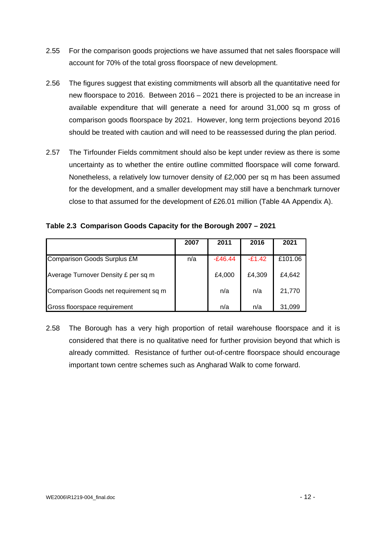- 2.55 For the comparison goods projections we have assumed that net sales floorspace will account for 70% of the total gross floorspace of new development.
- 2.56 The figures suggest that existing commitments will absorb all the quantitative need for new floorspace to 2016. Between 2016 – 2021 there is projected to be an increase in available expenditure that will generate a need for around 31,000 sq m gross of comparison goods floorspace by 2021. However, long term projections beyond 2016
- should be treated with caution and will need to be reassessed during the plan period. 2.57 The Tirfounder Fields commitment should also be kept under review as there is some uncertainty as to whether the entire outline committed floorspace will come forward. Nonetheless, a relatively low turnover density of £2,000 per sq m has been assumed for the development, and a smaller development may still have a benchmark turnover close to that assumed for the development of £26.01 million (Table 4A Appendix A).

|                                       | 2007 | 2011                 | 2016   2021 |         |
|---------------------------------------|------|----------------------|-------------|---------|
| Comparison Goods Surplus £M           | n/a  |                      |             | E101.06 |
| Average Turnover Density £ per sq m   |      | £4,000 £4,309 £4,642 |             |         |
| Comparison Goods net requirement sq m |      |                      | n/a         | 21,770  |
| Gross floorspace requirement          |      | 11U                  | n/a         | 31,099  |

# **Table 2.3 Comparison Goods Capacity for the Borough 2007 – 2021**

2.58 The Borough has a very high proportion of retail warehouse floorspace and it is considered that there is no qualitative need for further provision beyond that which is already committed. Resistance of further out-of-centre floorspace should encourage important town centre schemes such as Angharad Walk to come forward.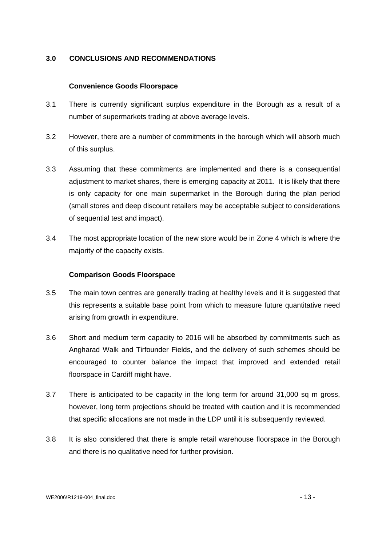# **3.0 CONCLUSIONS AND RECOMMENDATIONS**

# **Convenience Goods Floorspace**

- 3.1 There is currently significant surplus expenditure in the Borough as a result of a number of supermarkets trading at above average levels.
- 3.2 However, there are a number of commitments in the borough which will absorb much of this surplus.
- 3.3 Assuming that these commitments are implemented and there is a consequential adjustment to market shares, there is emerging capacity at 2011. It is likely that there is only capacity for one main supermarket in the Borough during the plan period (small stores and deep discount retailers may be acceptable subject to considerations of sequential test and impact).
- 3.4 The most appropriate location of the new store would be in Zone 4 which is where the majority of the capacity exists.

# **Comparison Goods Floorspace**

- 3.5 The main town centres are generally trading at healthy levels and it is suggested that this represents a suitable base point from which to measure future quantitative need arising from growth in expenditure.
- 3.6 Short and medium term capacity to 2016 will be absorbed by commitments such as Angharad Walk and Tirfounder Fields, and the delivery of such schemes should be encouraged to counter balance the impact that improved and extended retail floorspace in Cardiff might have.
- 3.7 There is anticipated to be capacity in the long term for around 31,000 sq m gross, however, long term projections should be treated with caution and it is recommended that specific allocations are not made in the LDP until it is subsequently reviewed.
- 3.8 It is also considered that there is ample retail warehouse floorspace in the Borough and there is no qualitative need for further provision.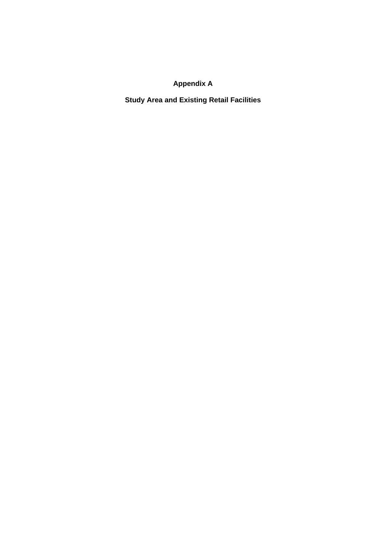# **Appendix A**

**Study Area and Existing Retail Facilities**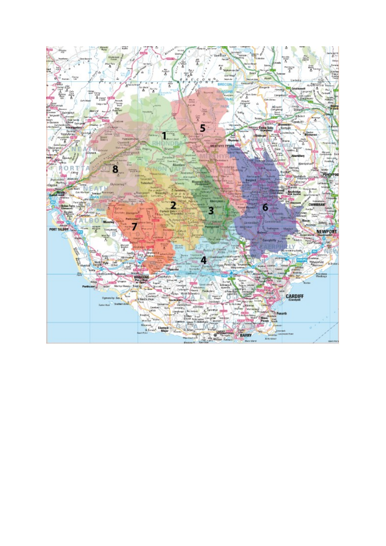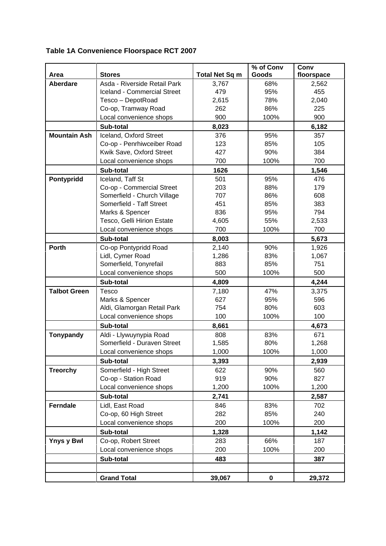| Table 1A Convenience Floorspace RCT 2007 |  |
|------------------------------------------|--|
|------------------------------------------|--|

|                     |                                                  |                | % of Conv  | Conv       |
|---------------------|--------------------------------------------------|----------------|------------|------------|
| Area                | <b>Stores</b>                                    | Total Net Sq m | Goods      | floorspace |
| Aberdare            | Asda - Riverside Retail Park                     | 3,767          | 68%        | 2,562      |
|                     | Iceland - Commercial Street                      | 479            | 95%        | 455        |
|                     | Tesco - DepotRoad                                | 2,615          | 78%        | 2,040      |
|                     | Co-op, Tramway Road                              | 262            | 86%        | 225        |
|                     | Local convenience shops                          | 900            | 100%       | 900        |
|                     | Sub-total                                        | 8,023          |            | 6,182      |
|                     | Mountain Ash   Iceland, Oxford Street            | 376            | 95%        | 357        |
|                     | Co-op - Penrhiwceiber Road                       | 123            | 85%        | 105        |
|                     | Kwik Save, Oxford Street                         | 427            | 90%        | 384        |
|                     | Local convenience shops                          | 700            | 100%       | 700        |
|                     | Sub-total                                        | 1626           |            | 1,546      |
| Pontypridd          | Iceland, Taff St                                 | 501            | 95%        | 476        |
|                     | Co-op - Commercial Street                        | 203            | 88%        | 179        |
|                     | Somerfield - Church Village                      | 707            | 86%        | 608        |
|                     | Somerfield - Taff Street                         | 451            | 85%        | 383        |
|                     | Marks & Spencer                                  | 836            | 95%        | 794        |
|                     | Tesco, Gelli Hirion Estate                       | 4,605          | 55%        | 2,533      |
|                     | Local convenience shops                          | 700            | 100%       | 700        |
|                     | Sub-total                                        | 8,003          |            | 5,673      |
| Porth               | Co-op Pontypridd Road                            | 2,140          | 90%        | 1,926      |
|                     | Lidl, Cymer Road                                 | 1,286          | 83%        | 1,067      |
|                     | Somerfield, Tonyrefail                           | 883            | 85%        | 751        |
|                     | Local convenience shops                          | 500            | 100%       | 500        |
|                     | Sub-total                                        | 4,809          |            | 4,244      |
| <b>Talbot Green</b> | Tesco                                            | 7,180          | 47%        | 3,375      |
|                     | Marks & Spencer                                  | 627            | 95%        | 596        |
|                     | Aldi, Glamorgan Retail Park                      | 754            | 80%        | 603        |
|                     | Local convenience shops                          | 100            | 100%       | 100        |
|                     | Sub-total                                        | 8,661          |            | 4,673      |
| Tonypandy           | Aldi - Llywuynypia Road                          | 808            | 83%        | 671        |
|                     | Somerfield - Duraven Street                      | 1,585          | 80%        | 1,268      |
|                     | Local convenience shops                          | 1,000          | 100%       | 1,000      |
|                     | Sub-total                                        | 3,393          |            | 2,939      |
| Treorchy            |                                                  |                |            |            |
|                     | Somerfield - High Street<br>Co-op - Station Road | 622<br>919     | 90%<br>90% | 560<br>827 |
|                     | Local convenience shops                          | 1,200          | 100%       | 1,200      |
|                     |                                                  | 2,741          |            | 2,587      |
|                     | Sub-total                                        |                |            |            |
| Ferndale            | Lidl, East Road                                  | 846            | 83%        | 702        |
|                     | Co-op, 60 High Street                            | 282            | 85%        | 240        |
|                     | Local convenience shops                          | 200            | 100%       | 200        |
|                     | Sub-total                                        | 1,328          |            | 1,142      |
| <b>Ynys y Bwl</b>   | Co-op, Robert Street                             | 283            | 66%        | 187        |
|                     | Local convenience shops                          | 200            | 100%       | 200        |
|                     | Sub-total                                        | 483            |            | 387        |
|                     |                                                  |                |            |            |
|                     | <b>Grand Total</b>                               | 39,067         |            | 29,372     |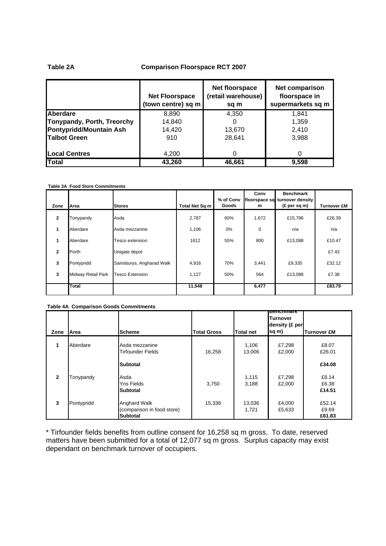### **Table 2A Comparison Floorspace RCT 2007**

|                            |                                   |        | Net floorspace   Net comparison |
|----------------------------|-----------------------------------|--------|---------------------------------|
|                            | Net Floorspace (retail warehouse) |        | floorspace in                   |
|                            | (town centre) sq $m$              | sq m   | supermarkets sq m               |
| <b>Aberdare</b>            | 8,890                             | 4,350  | .841                            |
| Tonypandy, Porth, Treorchy | 14,840                            |        | 1,359                           |
| Pontypridd/Mountain Ash    | 14,420                            | 13,670 | 2,410                           |
| <b>Talbot Green</b>        | 910                               | 28,641 | 3,988                           |
| <b>Local Centres</b>       | 4,200                             |        |                                 |
|                            |                                   |        |                                 |
|                            | 43,260                            | 46,661 | J.598                           |

### **Table 3A Food Store Commitments**

|           |                                      |                           |                |       | Conv  | <b>Benchmark</b>                         |                    |
|-----------|--------------------------------------|---------------------------|----------------|-------|-------|------------------------------------------|--------------------|
|           |                                      |                           |                |       |       | % of Conv floorspace sq turnover density |                    |
| Zone Area |                                      | <b>IStores</b>            | Total Net Sq m | Goods |       | (E per sq m)                             | <b>Turnover £M</b> |
|           | 2 Tonypandy                          | Asda                      | 2,787          | 60%   | 1,672 | £15,786                                  | £26.39             |
|           | Aberdare                             | Asda mezzanine            | 1,106          |       |       | n/a                                      | n/a                |
|           | Aberdare                             | <b>Tesco extension</b>    | 1612           | 55%   | 800   | £13,088                                  | £10.47             |
|           | 2 Porth                              | Unigate depot             |                |       |       |                                          | £7.43              |
|           | Pontypridd                           | Sainsburys, Angharad Walk | 4,916          | 70%   | 3,441 | £9,335                                   | £32.12             |
|           | 3 Midway Retail Park Tesco Extension |                           | 1,127          | 50%   | 564   | £13,088                                  | £7.38              |
|           | lTotal                               |                           | 11.548         |       | 6.477 |                                          | £83.79             |

### **Table 4A Comparison Goods Commitments**

|            |                            |                    |           | <b>Penchmare</b> |                        |
|------------|----------------------------|--------------------|-----------|------------------|------------------------|
|            |                            |                    |           | <b>Turnover</b>  |                        |
|            |                            |                    |           | density (£ per   |                        |
| Zone Area  | <b>Scheme</b>              | <b>Total Gross</b> | Total net | sq m)            | <b>Turnover £M</b>     |
|            |                            |                    |           |                  |                        |
|            |                            |                    |           |                  |                        |
| Aberdare   | Asda mezzanine             |                    | 1,106     | £7,298           | £8.07                  |
|            | <b>Tirfounder Fields</b>   | 16,258             | 13,006    | £2,000           | £26.01                 |
|            |                            |                    |           |                  |                        |
|            | Subtota                    |                    |           |                  | £34.08                 |
|            |                            |                    |           |                  |                        |
| Tonypandy  | Asda                       |                    | 1,115     | £7,298           | £8.14                  |
|            |                            |                    |           |                  |                        |
|            | <b>Yns Fields</b>          | 3,750              | 3,188     | £2,000           | £6.38<br><b>£14.51</b> |
|            | Subtota                    |                    |           |                  |                        |
|            |                            |                    |           |                  |                        |
| Pontypridd | Anghard Walk               | 15,336             | 13,036    | £4,000           | £52.14                 |
|            | (comparison in food store) |                    | 1,721     | £5,633           | £9.69                  |
|            |                            |                    |           |                  | £61.83                 |
|            | Subtotal                   |                    |           |                  |                        |

\* Tirfounder fields benefits from outline consent for 16,258 sq m gross. To date, reserved matters have been submitted for a total of 12,077 sq m gross. Surplus capacity may exist dependant on benchmark turnover of occupiers.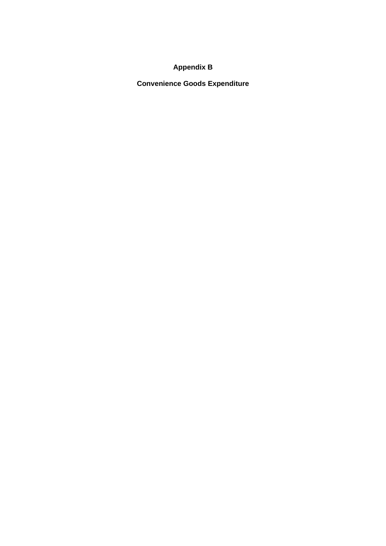# **Appendix B**

**Convenience Goods Expenditure**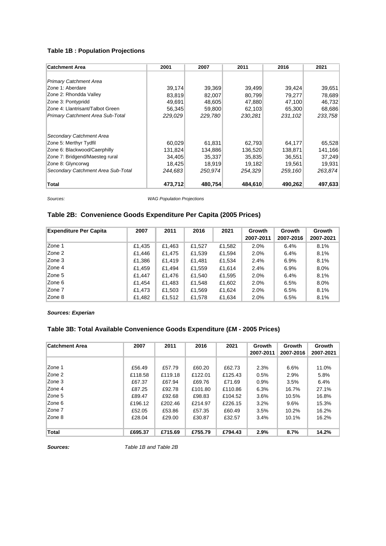# **Table 1B : Population Projections**

| <b>Catchment Area</b>              | 2001    | 2007    | 2011    | 2016    | 2021    |
|------------------------------------|---------|---------|---------|---------|---------|
|                                    |         |         |         |         |         |
| Primary Catchment Area             |         |         |         |         |         |
| Zone 1: Aberdare                   | 39,174  | 39,369  | 39,499  | 39,424  | 39,651  |
| Zone 2: Rhondda Valley             | 83,819  | 82,007  | 80,799  | 79,277  | 78,689  |
| Zone 3: Pontypridd                 | 49,691  | 48,605  | 47,880  | 47,100  | 46,732  |
| Zone 4: Llantrisant/Talbot Green   | 56,345  | 59,800  | 62,103  | 65,300  | 68,686  |
| Primary Catchment Area Sub-Total   | 229,029 | 229,780 | 230,281 | 231,102 | 233,758 |
|                                    |         |         |         |         |         |
|                                    |         |         |         |         |         |
| Secondary Catchment Area           |         |         |         |         |         |
| Zone 5: Merthyr Tydfil             | 60,029  | 61,831  | 62,793  | 64,177  | 65,528  |
| Zone 6: Blackwood/Caerphilly       | 131,824 | 134,886 | 136,520 | 138,871 | 141,166 |
| Zone 7: Bridgend/Maesteg rural     | 34,405  | 35,337  | 35,835  | 36,551  | 37,249  |
| Zone 8: Glyncorwg                  | 18,425  | 18,919  | 19,182  | 19,561  | 19,931  |
| Secondary Catchment Area Sub-Total | 244,683 | 250,974 | 254,329 | 259,160 | 263,874 |
|                                    |         |         |         |         |         |
| Total                              | 473,712 | 480,754 | 484,610 | 490,262 | 497,633 |

Sources: with the state of the MAG Population Projections and the state of the state of the state of the Sources

# **Table 2B: Convenience Goods Expenditure Per Capita (2005 Prices)**

| <b>Expenditure Per Capita</b> | 2011            | 2016                                                                                                        | 2021          |                                                                                                                         | Growth                                                                 | Growth  |
|-------------------------------|-----------------|-------------------------------------------------------------------------------------------------------------|---------------|-------------------------------------------------------------------------------------------------------------------------|------------------------------------------------------------------------|---------|
|                               |                 |                                                                                                             |               | 2007-2011   2007-2016   2007-2021                                                                                       |                                                                        |         |
| ∣Zone 1                       | £1,435   £1,463 | $\begin{array}{ c c c c c c c c } \hline &\text{£1,527} & \text{£1,582} & \text{2.0\%} \hline \end{array}$  |               |                                                                                                                         | $6.4\%$                                                                | 8.1%    |
| Zone 2                        |                 |                                                                                                             |               |                                                                                                                         |                                                                        | 8.1%    |
| Zone 3                        |                 |                                                                                                             |               | E1,446 E1,475 E1,539 E1,594 2.0% 6.4%<br>E1,386 E1,419 E1,481 E1,534 2.4% 6.9%<br>E1,459 E1,494 E1,559 E1,614 2.4% 6.9% |                                                                        | $8.1\%$ |
| Zone 4                        |                 |                                                                                                             |               |                                                                                                                         |                                                                        | 8.0%    |
| ∣Zone 5                       |                 |                                                                                                             |               |                                                                                                                         |                                                                        | 8.1%    |
| ∣Zone 6                       |                 |                                                                                                             |               | £1,454 E1,483 E1,548 E1,602 2.0%                                                                                        |                                                                        | 8.0%    |
| Zone 7                        | £1,473   £1,503 | $\begin{array}{ c c c c c c c c } \hline & \text{£1,569} & \text{£1,624} & \text{2.0\%} \hline \end{array}$ |               |                                                                                                                         | $\begin{array}{ c c } \hline 6.5\% \\ \hline 6.5\% \hline \end{array}$ | 8.1%    |
| ∣Zone 8                       | £1.482 F1.512   |                                                                                                             | £1,578 £1,634 | 2.0%                                                                                                                    | 6.5%                                                                   | 8.1%    |

**Sources: Experian**

# **Table 3B: Total Available Convenience Goods Expenditure (£M - 2005 Prices)**

| <b>Catchment Area</b> |         | $\sqrt{2011}$                                           | 2016                                                                                 | 2021             | Growth         | Growth                  | Growth                         |
|-----------------------|---------|---------------------------------------------------------|--------------------------------------------------------------------------------------|------------------|----------------|-------------------------|--------------------------------|
|                       |         |                                                         |                                                                                      |                  |                |                         | 2007-2011 2007-2016 2007-2021  |
|                       |         |                                                         |                                                                                      |                  |                |                         |                                |
| Zone 1                | £56.49  | £57.79                                                  | £60.20                                                                               | £62.73           | 2.3%           |                         |                                |
| Zone 2                | £118.58 | $\vert$ £119.18 $\vert$ £122.01 $\vert$ £125.43 $\vert$ |                                                                                      |                  | 0.5%           | $6.6\%$<br>2.9%<br>3.5% | 11.0%<br>5.8%                  |
| Zone 3                | £67.37  | $E67.94$ $E69.76$ $E71.69$                              |                                                                                      |                  | $0.9\%$        |                         | 6.4%                           |
| Zone 4                | £87.25  |                                                         |                                                                                      |                  |                |                         | 16.7%  27.1%<br>10.5%  16.8%   |
| Zone 5                | £89.47  | <b>E92.68</b>                                           |                                                                                      | £98.83   £104.52 | $3.6\%$        |                         |                                |
| Zone 6                | £196.12 | £202.46   £214.97   £226.15                             |                                                                                      |                  | 3.2%           | $9.6\%$                 | 15.3%                          |
| Zone 7                | £52.05  | £53.86                                                  | £57.35   £60.49                                                                      |                  | 3.5%           |                         |                                |
| Zone 8                | £28.04  |                                                         | $\begin{array}{ c c c c c } \hline \text{£}30.87 & \text{£}32.57 \hline \end{array}$ |                  | $3.4\%$        |                         | 10.2%   16.2%<br>10.1%   16.2% |
|                       |         |                                                         |                                                                                      |                  |                |                         |                                |
| Total                 |         | E695.37 E715.69 E755.79 E794.43                         |                                                                                      |                  | $\sqrt{2.9\%}$ | $\boxed{8.7\%}$         | 14.2%                          |

**Sources:** Table 1B and Table 2B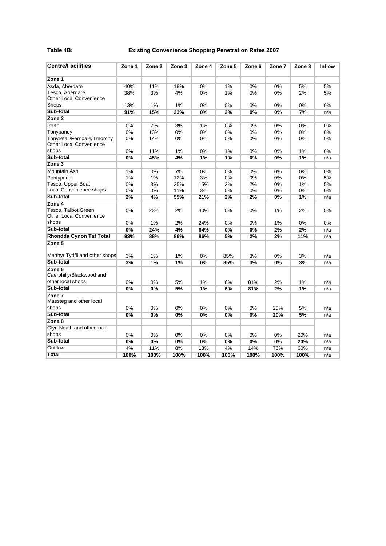# **Table 4B: Existing Convenience Shopping Penetration Rates 2007**

| <b>Centre/Facilities</b>                       |         | Zone 1   Zone 2   Zone 3   Zone 4   Zone 5   Zone 6   Zone 7   Zone 8   Inflow |                                  |          |    |          |                                                                                                       |                |
|------------------------------------------------|---------|--------------------------------------------------------------------------------|----------------------------------|----------|----|----------|-------------------------------------------------------------------------------------------------------|----------------|
| Zone 1                                         |         |                                                                                |                                  |          |    |          |                                                                                                       |                |
|                                                |         | 40% 11% 18% 0% 1% 0% 0%                                                        |                                  |          |    |          | 5%                                                                                                    | 5%             |
| Asda, Aberdare<br>Tesco, Aberdare              |         | $38\%$ 3%                                                                      | $\blacksquare$ 4% $\blacksquare$ |          |    |          | 0%   1%   0%   0%   2%                                                                                | 5%             |
| Other Local Convenience                        |         |                                                                                |                                  |          |    |          |                                                                                                       |                |
| Shops                                          | 13%     | $1\%$                                                                          | $1\%$                            |          |    |          |                                                                                                       |                |
| Sub-total                                      |         | 91% 15% 23% 0% 2% 0% 0% 7% n/a                                                 |                                  |          |    |          |                                                                                                       |                |
| Zone 2                                         |         |                                                                                |                                  |          |    |          |                                                                                                       |                |
| Porth                                          | $0\%$   |                                                                                |                                  |          |    |          | 7% 3% 1% 0% 0% 0% 0% 0%                                                                               | 0%             |
| Tonypandy<br>Tonyrefail/Ferndale/Treorchy      | 0%      | $13\%$                                                                         | 0%                               | 0% 0%    |    | 0%<br>0% | 0%                                                                                                    | 0%             |
| Other Local Convenience                        | $-10\%$ | 14%   0%   0%   0%   0%   0%   0%   0%                                         |                                  |          |    |          |                                                                                                       |                |
| shops                                          |         | 0%   11%   1%   0%   1%   0%   0%   1%   0%                                    |                                  |          |    |          |                                                                                                       |                |
| Sub-total                                      |         | 0% 45% 4% 1% 1% 0% 0% 1% n/a                                                   |                                  |          |    |          |                                                                                                       |                |
| Zone 3                                         |         |                                                                                |                                  |          |    |          |                                                                                                       |                |
| Mountain Ash<br>Pontypridd                     |         | 1% 0% 7% 0% 0% 0% 0% 0% 0%                                                     |                                  |          |    |          |                                                                                                       | $\parallel$ 0% |
|                                                | $1\%$   | $1\%$                                                                          | 12%                              | $3\%$ 0% |    | 0%       | $\begin{array}{ c c c c c } \hline \rule{0.2cm}{0.2cm} & 0\% & \quad \rule{0.2cm}{0.2cm} \end{array}$ | 5%             |
| Tesco, Upper Boat                              | 0%      | $3\%$                                                                          | 25%                              |          |    |          | 15%   2%   2%   0%   1%   5%                                                                          |                |
| Local Convenience shops                        | $0\%$   | $0\%$                                                                          |                                  |          |    |          | 11% 3% 0% 0% 0% 0% 0% 0%                                                                              |                |
| Sub-total                                      |         | 2% 4% 55% 21% 2% 2% 0% 1% n/a                                                  |                                  |          |    |          |                                                                                                       |                |
| Zone 4                                         |         |                                                                                |                                  |          |    |          |                                                                                                       |                |
| Tesco, Talbot Green<br>Other Local Convenience |         | 0%   23%   2%   40%   0%   0%   1%   2%   5%                                   |                                  |          |    |          |                                                                                                       |                |
| shops                                          |         | 0%   1%   2%   24%   0%   0%   1%   0%   0%                                    |                                  |          |    |          |                                                                                                       |                |
| Sub-total                                      | $0\%$   |                                                                                |                                  |          |    |          | 24% 4% 64% 0% 0% 2% 2% n/a                                                                            |                |
| Rhondda Cynon Taf Total                        |         | <b>93% 88% 86% 86% 5% 2% 2% 11% n/a</b>                                        |                                  |          |    |          |                                                                                                       |                |
| Zone 5                                         |         |                                                                                |                                  |          |    |          |                                                                                                       |                |
|                                                |         |                                                                                |                                  |          |    |          |                                                                                                       |                |
| Merthyr Tydfil and other shops 3%              |         | 1%   1%                                                                        |                                  |          |    |          | 0%   85%   3%   0%   3%   n/a                                                                         |                |
| Sub-total                                      |         | 3% 1% 1% 1% 0% 85% 3% 0% 3% n/a                                                |                                  |          |    |          |                                                                                                       |                |
| Zone 6<br>Caerphilly/Blackwood and             |         |                                                                                |                                  |          |    |          |                                                                                                       |                |
| other local shops                              |         |                                                                                |                                  |          |    |          |                                                                                                       |                |
| Sub-total                                      |         | 0%   0%   5%   1%   6%   81%   2%   1%   n/a<br>0% 0% 5% 1% 6% 81% 2% 1% n/a   |                                  |          |    |          |                                                                                                       |                |
| Zone 7                                         |         |                                                                                |                                  |          |    |          |                                                                                                       |                |
| Maesteg and other local                        |         |                                                                                |                                  |          |    |          |                                                                                                       |                |
| shops                                          |         | 0%   0%                                                                        | $0\%$                            |          |    |          | 0%   0%   0%   20%   5%   n/a                                                                         |                |
| Sub-total                                      |         | 0% 0% 0% 0% 0% 0% 0% 0% 20% 5% n/a                                             |                                  |          |    |          |                                                                                                       |                |
| Zone 8                                         |         |                                                                                |                                  |          |    |          |                                                                                                       |                |
| Glyn Neath and other local                     |         |                                                                                |                                  |          |    |          |                                                                                                       |                |
| shops                                          | 0%      | 0%                                                                             | 0%                               | 0%       | 0% | 0%       | $0\%$ 20%                                                                                             | ∥ n/a          |
| Sub-total                                      | $0\%$   | $\mathbf{0\%}$                                                                 | $\mathbf{0\%}$                   |          |    |          | 0% 0% 0% 0% 0% 20% n/a                                                                                |                |
| Outflow                                        |         | 4% 11% 8% 13% 4% 14% 76% 60%                                                   |                                  |          |    |          |                                                                                                       | ∥ n/a          |
| Total                                          |         |                                                                                |                                  |          |    |          |                                                                                                       |                |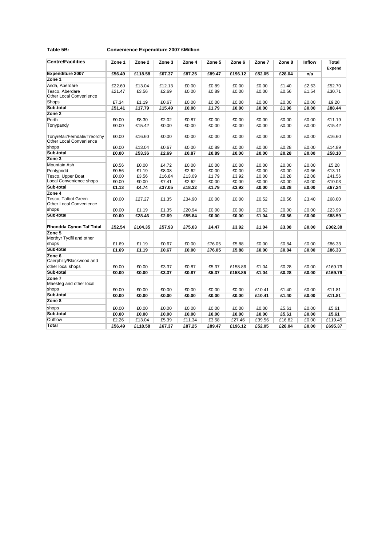| Table 5B: | <b>Convenience Expenditure 2007 £Million</b> |  |
|-----------|----------------------------------------------|--|
|           |                                              |  |

| <b>Centre/Facilities</b>                                                                                       |       | Zone 1   Zone 2   Zone 3   Zone 4   Zone 5   Zone 6   Zone 7   Zone 8   Inflow   Total                                                        |                                         |                 |       |                                     |                |                                           |                  | Expend                          |
|----------------------------------------------------------------------------------------------------------------|-------|-----------------------------------------------------------------------------------------------------------------------------------------------|-----------------------------------------|-----------------|-------|-------------------------------------|----------------|-------------------------------------------|------------------|---------------------------------|
| <b>Expenditure 2007</b>                                                                                        |       | £56.49 £118.58 £67.37 £87.25 £89.47 £196.12 £52.05 £28.04 n/a                                                                                 |                                         |                 |       |                                     |                |                                           |                  |                                 |
| Zone 1                                                                                                         |       |                                                                                                                                               |                                         |                 |       |                                     |                |                                           |                  |                                 |
| Asda, Aberdare                                                                                                 |       | £22.60 £13.04 £12.13 £0.00 £0.89 £0.00 £0.00 £1.40 £2.63 £52.70                                                                               |                                         |                 |       |                                     |                |                                           |                  |                                 |
| Tesco, Aberdare<br>Other Local Convenience                                                                     |       | $E21.47$ $E3.56$ $E2.69$ $E0.00$ $E0.89$ $E0.00$ $E0.00$ $E0.56$ $E1.54$ $E30.71$                                                             |                                         |                 |       |                                     |                |                                           |                  |                                 |
| Shops                                                                                                          |       | £7.34   £1.19   £0.67   £0.00   £0.00   £0.00   £0.00   £0.00   £0.00   £9.20                                                                 |                                         |                 |       |                                     |                |                                           |                  |                                 |
| Sub-total                                                                                                      |       | £51.41 £17.79 £15.49 £0.00 £1.79 £0.00 £0.00 £1.96 £0.00 £88.44                                                                               |                                         |                 |       |                                     |                |                                           |                  |                                 |
| Zone 2                                                                                                         |       |                                                                                                                                               |                                         |                 |       |                                     |                |                                           |                  |                                 |
| Porth                                                                                                          |       | $E0.00$ $E8.30$ $E2.02$ $E0.87$ $E0.00$ $E0.00$ $E0.00$ $E0.00$ $E0.00$ $E0.00$ $E11.19$                                                      |                                         |                 |       |                                     |                |                                           |                  |                                 |
| Tonypandy                                                                                                      |       | $E0.00$ $E15.42$ $E0.00$ $E0.00$ $E0.00$ $E0.00$ $E0.00$ $E0.00$ $E0.00$ $E0.00$ $E15.42$                                                     |                                         |                 |       |                                     |                |                                           |                  |                                 |
| Tonyrefail/Ferndale/Treorchy                                                                                   |       | $E0.00$ $E16.60$ $E0.00$ $E0.00$ $E0.00$ $E0.00$ $E0.00$ $E0.00$ $E0.00$ $E0.00$ $E16.60$                                                     |                                         |                 |       |                                     |                |                                           |                  |                                 |
| Other Local Convenience                                                                                        |       |                                                                                                                                               |                                         |                 |       |                                     |                |                                           |                  |                                 |
| shops                                                                                                          |       | $E0.00$ $E13.04$ $E0.67$ $E0.00$ $E0.89$ $E0.00$ $E0.00$ $E0.28$ $E0.00$ $E14.89$                                                             |                                         |                 |       |                                     |                |                                           |                  |                                 |
| Sub-total                                                                                                      | £0.00 | $\vert$ £53.36   £2.69   £0.87   £0.89   £0.00   £0.00   £0.28   £0.00   £58.10                                                               |                                         |                 |       |                                     |                |                                           |                  |                                 |
| Zone 3                                                                                                         |       |                                                                                                                                               |                                         |                 |       |                                     |                |                                           |                  |                                 |
| Mountain Ash<br>Pontypridd                                                                                     | £0.56 | £0.56 E0.00<br>  £1.19   £8.08   £2.62   £0.00                                                                                                | £4.72                                   | £0.00           | £0.00 | £0.00<br>$\vert$ £0.00 $\vert$      | £0.00<br>£0.00 | £0.00<br>£0.00                            | £0.00<br>£0.66   | $\Big $ £5.28<br>$\vert$ £13.11 |
| Tesco, Upper Boat                                                                                              |       | £0.00 E3.56                                                                                                                                   | £16.84   £13.09   £1.79   £3.92   £0.00 |                 |       |                                     |                | $\vert$ £0.28                             | $E2.08$ $E41.56$ |                                 |
| Local Convenience shops                                                                                        |       | £0.00   £0.00   £7.41   £2.62   £0.00   £0.00   £0.00                                                                                         |                                         |                 |       |                                     |                | $E0.00$ $E0.00$ $E10.03$                  |                  |                                 |
| Sub-total                                                                                                      |       | £1.13   £4.74   £37.05   £18.32   £1.79   £3.92   £0.00   £0.28   £0.00   £67.24                                                              |                                         |                 |       |                                     |                |                                           |                  |                                 |
| Zone 4                                                                                                         |       |                                                                                                                                               |                                         |                 |       |                                     |                |                                           |                  |                                 |
| Tesco, Talbot Green<br>Other Local Convenience                                                                 |       | $E0.00$ $E27.27$ $E1.35$ $E34.90$ $E0.00$ $E0.00$ $E0.52$ $E0.56$ $E3.40$ $E68.00$                                                            |                                         |                 |       |                                     |                |                                           |                  |                                 |
| shops                                                                                                          |       | $E0.00$ $E1.19$ $E1.35$ $E20.94$ $E0.00$ $E0.00$ $E0.52$ $E0.00$ $E0.00$ $E23.99$                                                             |                                         |                 |       |                                     |                |                                           |                  |                                 |
| Sub-total                                                                                                      |       | £0.00 £28.46 £2.69 £55.84 £0.00 £0.00 £1.04 £0.56 £0.00 £88.59                                                                                |                                         |                 |       |                                     |                |                                           |                  |                                 |
|                                                                                                                |       |                                                                                                                                               |                                         |                 |       |                                     |                |                                           |                  |                                 |
| Rhondda Cynon Taf Total   £52.54   £104.35   £57.93   £75.03   £4.47   £3.92   £1.04   £3.08   £0.00   £302.38 |       |                                                                                                                                               |                                         |                 |       |                                     |                |                                           |                  |                                 |
| Zone 5<br>Merthyr Tydfil and other                                                                             |       |                                                                                                                                               |                                         |                 |       |                                     |                |                                           |                  |                                 |
| shops                                                                                                          |       | £1.69 $\vert$ £1.19 $\vert$ £0.67 $\vert$ £0.00 $\vert$ £76.05 $\vert$ £5.88 $\vert$ £0.00 $\vert$ £0.84 $\vert$ £0.00 $\vert$ £86.33         |                                         |                 |       |                                     |                |                                           |                  |                                 |
| Sub-total                                                                                                      |       | £1.69   £1.19   £0.67   £0.00   £76.05   £5.88   £0.00   £0.84   £0.00   £86.33                                                               |                                         |                 |       |                                     |                |                                           |                  |                                 |
| Zone 6<br>Caerphilly/Blackwood and                                                                             |       |                                                                                                                                               |                                         |                 |       |                                     |                |                                           |                  |                                 |
|                                                                                                                |       |                                                                                                                                               |                                         |                 |       |                                     |                |                                           |                  |                                 |
| other local shops<br>Sub-total                                                                                 |       | $E0.00$ $E0.00$ $E3.37$ $E0.87$ $E5.37$ $E158.86$ $E1.04$ $E0.28$ $E0.00$ $E169.79$                                                           |                                         |                 |       |                                     |                |                                           |                  |                                 |
| Zone 7                                                                                                         |       |                                                                                                                                               |                                         |                 |       |                                     |                |                                           |                  |                                 |
| Maesteg and other local                                                                                        |       |                                                                                                                                               |                                         |                 |       |                                     |                |                                           |                  |                                 |
| shops                                                                                                          |       | $E0.00$ $E0.00$ $E0.00$ $E0.00$ $E0.00$ $E0.00$ $E0.00$ $E10.41$ $E1.40$ $E0.00$ $E11.81$                                                     |                                         |                 |       |                                     |                |                                           |                  |                                 |
| Sub-total                                                                                                      |       |                                                                                                                                               |                                         |                 |       |                                     |                |                                           |                  |                                 |
| Zone 8                                                                                                         |       |                                                                                                                                               |                                         |                 |       |                                     |                |                                           |                  |                                 |
| shops                                                                                                          | £0.00 | £0.00                                                                                                                                         | £0.00                                   | $£0.00$ $£0.00$ |       | $\vert$ £0.00 $\vert$               | £0.00          | $\parallel$ £5.61   £0.00   £5.61         |                  |                                 |
| Sub-total                                                                                                      | £0.00 | £0.00                                                                                                                                         |                                         |                 |       | $£0.00$ $£0.00$ $£0.00$ $£0.00$ $]$ | $\vert$ £0.00  | $\vert$ £5.61 $\vert$ £0.00 $\vert$ £5.61 |                  |                                 |
| Outflow<br>Total                                                                                               |       | £2.26 £13.04 £5.39 £11.34 £3.58 £27.46 £39.56 £16.82 £0.00 £119.45<br>£56.49 £118.58 £67.37 £87.25 £89.47 £196.12 £52.05 £28.04 £0.00 £695.37 |                                         |                 |       |                                     |                |                                           |                  |                                 |
|                                                                                                                |       |                                                                                                                                               |                                         |                 |       |                                     |                |                                           |                  |                                 |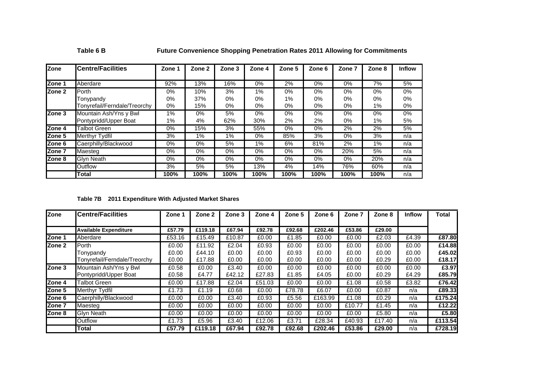| Zone              | <b>Centre/Facilities</b>                                                                                                                         |             |          |      | Zone 1   Zone 2   Zone 3   Zone 4   Zone 5   Zone 6   Zone 7   Zone 8   Inflow |     |       |              |        |     |
|-------------------|--------------------------------------------------------------------------------------------------------------------------------------------------|-------------|----------|------|--------------------------------------------------------------------------------|-----|-------|--------------|--------|-----|
|                   |                                                                                                                                                  |             |          |      |                                                                                |     |       |              |        |     |
| Zone 1<br>Zone 2  | <b>I</b> Aberdare                                                                                                                                | 92%         | − 07'د ا | ାଠ″⊘ | U%                                                                             |     | $U\%$ |              | 170    |     |
|                   |                                                                                                                                                  |             |          |      |                                                                                |     | U70   |              |        |     |
|                   | onypano                                                                                                                                          |             |          | U%   | U%                                                                             |     | U70   | $\mathsf{v}$ | U 70   |     |
|                   | Tonyrefail/Ferndale/Treorchy                                                                                                                     | <b>U</b> 70 | 15%      | 0%   | 0%                                                                             |     | U%    | U%           | 170    |     |
| Zone <sub>3</sub> | Mountain Ash/Yns y Bwl                                                                                                                           |             |          |      | U%                                                                             |     |       |              |        |     |
|                   | Pontypridd/Upper Boat                                                                                                                            |             | $4\%$    | 62%  | 30%                                                                            |     |       |              |        |     |
|                   |                                                                                                                                                  |             |          |      | 55%                                                                            |     | U%    |              | Z 70   |     |
|                   |                                                                                                                                                  |             |          |      | U%                                                                             | ്ഗ് |       |              | 70 - ت |     |
|                   | Caerphilly/Blackwood                                                                                                                             |             |          |      |                                                                                |     |       |              | 1%     |     |
|                   |                                                                                                                                                  |             |          |      | U%                                                                             |     | . U%  | ້⊷           |        |     |
|                   | <b>Zone 4</b> Talbot Green<br><b>Zone 5</b> Merthyr Tydfil<br><b>Zone 6</b> Caerphilly/Blac<br><b>Zone 7</b> Maesteg<br><b>Zone 8</b> Glyn Neath |             |          |      | U%                                                                             |     |       |              | 20%    | n/a |
|                   |                                                                                                                                                  |             |          |      |                                                                                |     | 14%   |              | ഒറ%    |     |
|                   |                                                                                                                                                  |             |          |      | 100%   100%   100%   100%   100%   100%   100%   n/a                           |     |       |              |        |     |

**Table 6 B Future Convenience Shopping Penetration Rates 2011 Allowing for Commitments**

**Table 7B 2011 Expenditure With Adjusted Market Shares**

| Zone                                        | <b>Centre/Facilities</b>                                                                                                                             | Zone 1                                                                        |                  | Zone 2   Zone 3   Zone 4   Zone 5   Zone 6   Zone 7   Zone 8   Inflow                                                                                                                                                                                                                                                                                 |       |        |                              |        |          |                                                | Total   |
|---------------------------------------------|------------------------------------------------------------------------------------------------------------------------------------------------------|-------------------------------------------------------------------------------|------------------|-------------------------------------------------------------------------------------------------------------------------------------------------------------------------------------------------------------------------------------------------------------------------------------------------------------------------------------------------------|-------|--------|------------------------------|--------|----------|------------------------------------------------|---------|
|                                             |                                                                                                                                                      |                                                                               |                  |                                                                                                                                                                                                                                                                                                                                                       |       |        |                              |        |          |                                                |         |
|                                             | <b>Available Expenditure</b>                                                                                                                         | £57.79                                                                        | $\sqrt{2119.18}$ | £67.94 £92.78                                                                                                                                                                                                                                                                                                                                         |       |        | £92.68 £202.46 £53.86 £29.00 |        |          |                                                |         |
| <b>Zone 1</b> Aberda<br><b>Zone 2</b> Porth | <b>Aberdare</b>                                                                                                                                      | $\vert$ £53.16   £15.49                                                       |                  | £10.87                                                                                                                                                                                                                                                                                                                                                |       | £1.85  | $\mathsf{L}$ £0.00           | £0.00  | £2.03    | E4.39                                          | £87.80  |
|                                             |                                                                                                                                                      | £0.00                                                                         |                  |                                                                                                                                                                                                                                                                                                                                                       |       |        |                              |        |          |                                                | £14.88  |
|                                             | Tonypandy                                                                                                                                            | £0.00                                                                         |                  |                                                                                                                                                                                                                                                                                                                                                       |       |        |                              |        |          |                                                | £45.02  |
|                                             | Tonyrefail/Ferndale/Treorchy                                                                                                                         | E0.00                                                                         |                  | $\begin{array}{ c c c c c c c c c c } \hline \texttt{£11.92} & \texttt{£2.04} & \texttt{£0.93} & \texttt{£0.00} & \texttt{£0.00} & \texttt{£0.00} & \texttt{£0.00} & \texttt{£0.00} & \texttt{£0.00} & \texttt{£0.00} & \texttt{£0.00} & \texttt{£0.00} & \texttt{£0.00} & \texttt{£0.00} & \texttt{£0.00} & \texttt{£0.00} & \texttt{£0.00} & \text$ |       |        |                              |        |          |                                                | £18.17  |
|                                             | Zone 3 Mountain Ash/Yns y Bwl                                                                                                                        | £0.58                                                                         | £0.00            | $\begin{array}{c} \text{E3.40} \\ \end{array}$                                                                                                                                                                                                                                                                                                        | LU.UU |        | £0.00 £0.00                  | £0.00  | £0.00    | E0.00                                          | £3.97   |
|                                             | Pontypridd/Upper Boat                                                                                                                                | £0.58                                                                         |                  | £4.77 £42.12 £27.83                                                                                                                                                                                                                                                                                                                                   |       |        | £1.85 £4.05                  | £0.00  |          | £0.29 £4.29                                    | £85.79  |
|                                             |                                                                                                                                                      |                                                                               |                  | £2.04                                                                                                                                                                                                                                                                                                                                                 |       | £0.00  |                              |        | £0.58    | $\begin{array}{c} \text{E3.82} \\ \end{array}$ | £76.42  |
|                                             |                                                                                                                                                      | £1.73                                                                         |                  | £0.68                                                                                                                                                                                                                                                                                                                                                 |       | £78.78 | £6.07                        | £0.00  | £0.87    | n/a                                            | £89.33  |
|                                             |                                                                                                                                                      | LU.UU                                                                         |                  | £3.40                                                                                                                                                                                                                                                                                                                                                 |       | LO.OD  |                              |        | £0.29    | n/a                                            | £175.24 |
|                                             |                                                                                                                                                      | <b>LU.UU</b>                                                                  |                  |                                                                                                                                                                                                                                                                                                                                                       |       | £0.00  | £0.00                        | £10.77 | £1.45    | n/a                                            | £12.22  |
|                                             | <b>Zone 4 Talbot Green</b><br><b>Zone 5 Merthyr Tydfil<br/> <b>Zone 6 Caerphilly/Blackwood</b><br/> <b>Zone 7 Maesteg<br/> Zone 8 Glyn Neath</b></b> | £0.00                                                                         |                  |                                                                                                                                                                                                                                                                                                                                                       | LU.UU | £0.00  | £0.00                        | £0.00  | £5.80    | n/a                                            | £5.80   |
|                                             | <b>Outflow</b>                                                                                                                                       | £1.7                                                                          |                  | £3.40                                                                                                                                                                                                                                                                                                                                                 |       | £3.71  |                              | £40.93 | £17.40 I | n/a                                            | £113.54 |
|                                             |                                                                                                                                                      | £57.79   £119.18   £67.94   £92.78   £92.68   £202.46   £53.86   £29.00   n/a |                  |                                                                                                                                                                                                                                                                                                                                                       |       |        |                              |        |          |                                                | £728.19 |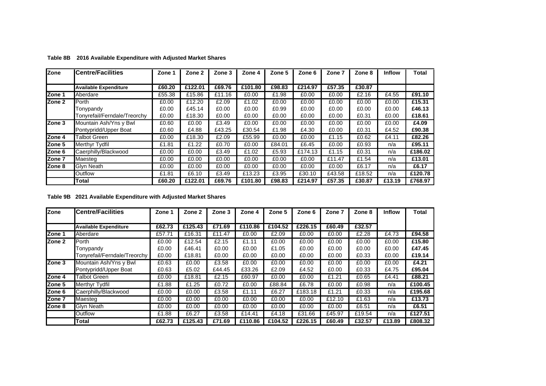| Zone             | <b>Centre/Facilities</b>                                                                                                                              |                                                                                 |       |       |         |        |                |                 |        | Zone 1   Zone 2   Zone 3   Zone 4   Zone 5   Zone 6   Zone 7   Zone 8   Inflow | <b>Total</b>                                                                                         |
|------------------|-------------------------------------------------------------------------------------------------------------------------------------------------------|---------------------------------------------------------------------------------|-------|-------|---------|--------|----------------|-----------------|--------|--------------------------------------------------------------------------------|------------------------------------------------------------------------------------------------------|
|                  |                                                                                                                                                       |                                                                                 |       |       |         |        |                |                 |        |                                                                                |                                                                                                      |
|                  | <b>Available Expenditure</b>                                                                                                                          | $\mid$ £60.20   £122.01   £69.76   £101.80   £98.83   £214.97   £57.35   £30.87 |       |       |         |        |                |                 |        |                                                                                |                                                                                                      |
| Zone 1<br>Zone 2 | Aberdare                                                                                                                                              | £55.38                                                                          |       |       |         |        | £0.00 ∎        | £0.00           |        |                                                                                | £2.16    E4.55    E91.10                                                                             |
|                  | <b>Porth</b>                                                                                                                                          |                                                                                 |       |       |         |        |                |                 |        |                                                                                | $E0.00$ $E12.20$ $E2.09$ $E1.02$ $E0.00$ $E0.00$ $E0.00$ $E0.00$ $E0.00$ $E15.31$                    |
|                  | Tonypandy                                                                                                                                             |                                                                                 |       |       |         |        |                |                 |        |                                                                                |                                                                                                      |
|                  | Tonyrefail/Ferndale/Treorchy                                                                                                                          |                                                                                 |       |       |         |        |                |                 |        |                                                                                |                                                                                                      |
| Zone 3           | Mountain Ash/Yns y Bwl                                                                                                                                |                                                                                 |       |       |         | £0.00  |                | $E0.00$ $E0.00$ | £0.00  | E0.00                                                                          | £4.09                                                                                                |
|                  | Pontypridd/Upper Boat                                                                                                                                 | £0.60                                                                           | £4.88 |       |         |        |                |                 |        |                                                                                |                                                                                                      |
|                  |                                                                                                                                                       | £0.00                                                                           |       | £2.09 | LE55.99 | £0.00  | £0.00          | £1.15           | £0.62  | E4.11                                                                          | £82.26                                                                                               |
|                  |                                                                                                                                                       |                                                                                 |       |       |         | £84.01 |                |                 | £0.93  | n/a                                                                            | £95.11                                                                                               |
|                  |                                                                                                                                                       | £0.00                                                                           |       | £3.49 | LI.UZ   | LO.YJ  | E174.13        | £1.15           | £0.31  |                                                                                | $n/a$ £186.02                                                                                        |
|                  |                                                                                                                                                       | £0.00                                                                           |       | £0.00 | £0.00   | £0.00  |                | £0.00 E11.47    | £1.54  |                                                                                | $n/a$ £13.01                                                                                         |
|                  | <b>Zone 4</b> Talbot Green<br><b>Zone 5</b> Merthyr Tydfil<br><b>Zone 6</b> Caerphilly/Blackwood<br><b>Zone 7</b> Maesteg<br><b>Zone 8</b> Glyn Neath |                                                                                 |       |       |         |        |                |                 | £6.17  | n/a                                                                            | £6.17                                                                                                |
|                  |                                                                                                                                                       |                                                                                 |       | £3.49 | E13.23  | £3.95  | $\vert$ £30.10 | £43.58          | £18.52 |                                                                                | $n/a$ £120.78                                                                                        |
|                  | ITotal                                                                                                                                                |                                                                                 |       |       |         |        |                |                 |        |                                                                                | $\lceil$ £60.20   £122.01   £69.76   £101.80   £98.83   £214.97   £57.35   £30.87   £13.19   £768.97 |

**Table 8B 2016 Available Expenditure with Adjusted Market Shares**

**Table 9B 2021 Available Expenditure with Adjusted Market Shares**

| Zone             | <b>Centre/Facilities</b>                                                                                                                  | Zone 1 I |        |                                                                    |                       |         |           |                         |       | Zone 2   Zone 3   Zone 4   Zone 5   Zone 6   Zone 7   Zone 8   Inflow | Total                                                                                                                                                                                        |
|------------------|-------------------------------------------------------------------------------------------------------------------------------------------|----------|--------|--------------------------------------------------------------------|-----------------------|---------|-----------|-------------------------|-------|-----------------------------------------------------------------------|----------------------------------------------------------------------------------------------------------------------------------------------------------------------------------------------|
|                  |                                                                                                                                           |          |        |                                                                    |                       |         |           |                         |       |                                                                       |                                                                                                                                                                                              |
|                  | <b>Available Expenditure</b>                                                                                                              | £62.73   |        | $£125.43$ $£71.69$ $£110.86$ $£104.52$ $£226.15$ $£60.49$ $£32.57$ |                       |         |           |                         |       |                                                                       |                                                                                                                                                                                              |
| Zone 1<br>Zone 2 | Aberdare                                                                                                                                  | £57.71   |        | $\sqrt{211.47}$                                                    | $\vert$ £0.00 $\vert$ | £2.09 l | £0.00     |                         |       |                                                                       | £2.28 £4.73 <b>£94.58</b>                                                                                                                                                                    |
|                  | <b>Porth</b>                                                                                                                              | £0.00    |        |                                                                    |                       | £0.00   | £0.00     |                         |       |                                                                       | E15.80                                                                                                                                                                                       |
|                  | Tonypand                                                                                                                                  | £0.00    | £46.41 | E0.00 E0.00 E1.05 E0.00 E0.00                                      |                       |         |           |                         |       |                                                                       | $\begin{array}{ c c c c c }\n\hline\n\text{E0.00} & \text{E0.00} & \text{E15.80} \\ \text{E0.00} & \text{E0.00} & \text{E47.45} \\ \text{E0.33} & \text{E0.00} & \text{E19.14}\n\end{array}$ |
|                  | Tonyrefail/Ferndale/Treorchy                                                                                                              | £0.00    | £18.81 | £0.00 £0.00                                                        |                       |         |           | $E0.00$ $E0.00$ $E0.00$ |       |                                                                       |                                                                                                                                                                                              |
| Zone 3           | Mountain Ash/Yns y Bwl                                                                                                                    | £0.63    |        | £0.00   £3.58   £0.00   £0.00   £0.00   £0.00   £0.00              |                       |         |           |                         |       |                                                                       | <b>ED.00</b> EQ.00 <b>E4.21</b>                                                                                                                                                              |
|                  | Pontypridd/Upper Boat                                                                                                                     | £0.63    |        |                                                                    |                       |         |           |                         |       |                                                                       | £0.33 £4.75 <b>£95.04</b>                                                                                                                                                                    |
|                  | <b>Talbot Green</b>                                                                                                                       | £0.00    |        | LZ.IO                                                              | $\vert$ £60.97        | £0.00   | £0.00     | E1.21                   | £0.65 |                                                                       | $\left  \right $ £4.41 <b>£88.21</b>                                                                                                                                                         |
|                  | <b>Merthyr Tydfil</b>                                                                                                                     |          |        |                                                                    |                       |         | £6.78     |                         |       | n/a                                                                   | £100.45                                                                                                                                                                                      |
|                  | Caerphilly/Blackwood                                                                                                                      | £0.00    |        |                                                                    |                       | £6.27   | ¶ £183.18 | £1.21                   | £0.33 |                                                                       | n/a <b>£195.68</b>                                                                                                                                                                           |
|                  | <b>Zone 4</b> Talbot Gree<br><b>Zone 5</b> Merthyr Tyd<br><b>Zone 6</b> Caerphilly/E<br><b>Zone 7</b> Maesteg<br><b>Zone 8</b> Glyn Neath | £0.00    |        |                                                                    |                       |         |           |                         |       | n/a                                                                   | £13.73                                                                                                                                                                                       |
|                  |                                                                                                                                           | £0.00    |        |                                                                    |                       |         |           |                         | £6.51 | n/a                                                                   | £6.51                                                                                                                                                                                        |
|                  | Outflow                                                                                                                                   | £1.88    | £6.27  | £3.58   £14.41                                                     |                       |         |           | $£4.18$ £31.66 £45.97   |       |                                                                       | £19.54 $n/a$ £127.51                                                                                                                                                                         |
|                  |                                                                                                                                           |          |        |                                                                    |                       |         |           |                         |       |                                                                       | E62.73 E125.43 E71.69 E110.86 E104.52 E226.15 E60.49 E32.57 E13.89 E808.32                                                                                                                   |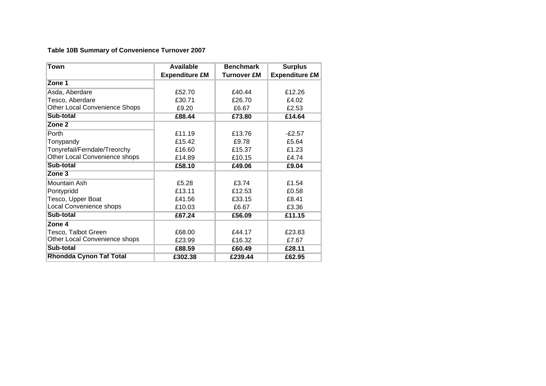# **Table 10B Summary of Convenience Turnover 2007**

| <b>Town</b>                                  | Available                        | <b>Benchmark</b>   | <b>Surplus</b>   |
|----------------------------------------------|----------------------------------|--------------------|------------------|
|                                              |                                  |                    |                  |
|                                              | Expenditure $\mathbf{\pounds}$ M | <b>Turnover £M</b> | Expenditure $EM$ |
| Zone 1                                       |                                  |                    |                  |
| Asda, Aberdare                               | £52.70                           | £40.44             | £12.26           |
| Tesco, Aberdare                              | £30.71                           | £26.70             | £4.02            |
| Other Local Convenience Shops                | £9.20                            | £6.67              | £2.53            |
| Sub-total                                    | £88.44                           | £73.80             | £14.64           |
| Zone 2                                       |                                  |                    |                  |
|                                              |                                  |                    |                  |
| Porth                                        | £11.19                           | £13.76             | $-E2.57$         |
| Tonypandy                                    | £15.42                           | £9.78              | £5.64            |
| Tonyrefail/Ferndale/Treorchy                 | £16.60                           | £15.37             | £1.23            |
| Other Local Convenience shops                | £14.89                           | £10.15             | £4.74            |
| Sub-total                                    | £58.10                           | £49.06             | £9.04            |
| Zone 3                                       |                                  |                    |                  |
| Mountain Ash                                 | £5.28                            | £3.74              | £1.54            |
|                                              |                                  |                    |                  |
| Pontypridd                                   | £13.11                           | £12.53             | £0.58            |
| Tesco, Upper Boat<br>Local Convenience shops | £41.56                           | £33.15             | £8.41            |
|                                              | £10.03                           | £6.67              | £3.36            |
| Sub-total                                    | £67.24                           | £56.09             | £11.15           |
| Zone 4                                       |                                  |                    |                  |
| Tesco, Talbot Green                          | £68.00                           | £44.17             | £23.83           |
| Other Local Convenience shops                | £23.99                           | £16.32             | £7.67            |
| Sub-total                                    |                                  |                    |                  |
|                                              | £88.59                           | £60.49             | £28.11           |
| Rhondda Cynon Taf Total                      | £302.38                          | £239.44            | £62.95           |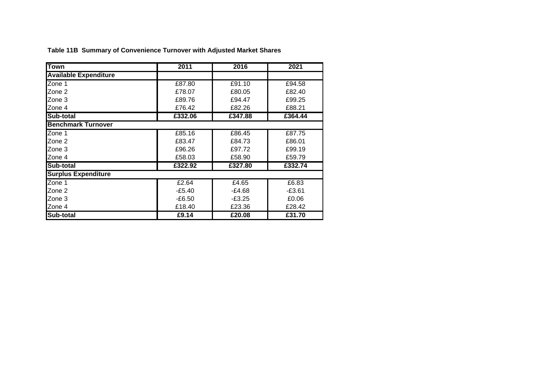| <b>Town</b>                                                                       | 2011     | 2016     | 2021     |
|-----------------------------------------------------------------------------------|----------|----------|----------|
| <b>Available Expenditure</b>                                                      |          |          |          |
| Zone 1                                                                            | £87.80   | £91.10   | £94.58   |
| Zone 2                                                                            | £78.07   | £80.05   | £82.40   |
| Zone 3                                                                            | £89.76   | £94.47   | £99.25   |
| Zone 4                                                                            | £76.42   | £82.26   | £88.21   |
| Sub-total                                                                         | £332.06  | £347.88  | £364.44  |
| <b>Benchmark Turnover</b>                                                         |          |          |          |
| Zone <sup>1</sup>                                                                 | £85.16   | £86.45   | £87.75   |
|                                                                                   | £83.47   | £84.73   | £86.01   |
|                                                                                   | £96.26   | £97.72   | £99.19   |
|                                                                                   | £58.03   | £58.90   | £59.79   |
|                                                                                   | £322.92  | £327.80  | £332.74  |
|                                                                                   |          |          |          |
| Zone 2<br>Zone 3<br>Zone 4<br><b>Sub-total<br/> Surplus Expenditure</b><br>Zone 1 | £2.64    | £4.65    | £6.83    |
| Zone 2                                                                            | $-£5.40$ | $-£4.68$ | $-£3.61$ |
| Zone 3                                                                            | $-£6.50$ | $-£3.25$ | £0.06    |
| Zone 4<br>Sub-total                                                               | £18.40   | £23.36   | £28.42   |
|                                                                                   | £9.14    | £20.08   | £31.70   |

**Table 11B Summary of Convenience Turnover with Adjusted Market Shares**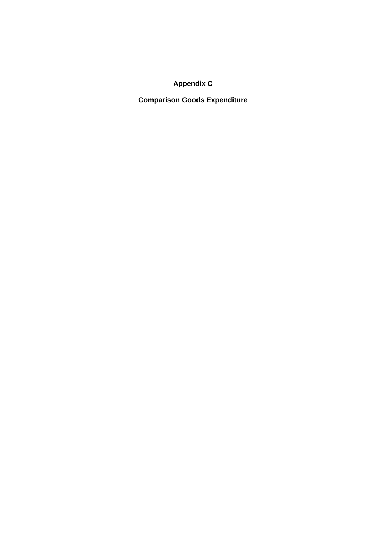# **Appendix C**

**Comparison Goods Expenditure**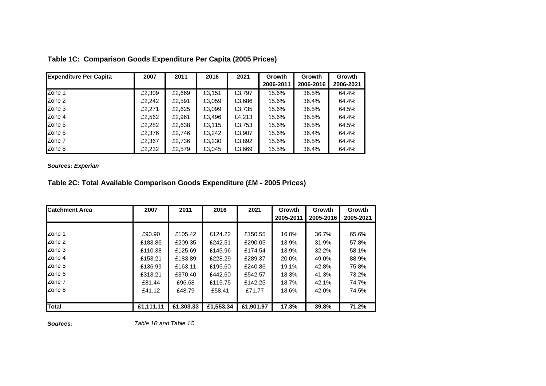| <b>Expenditure Per Capita</b> | 2007 |                                     | 2011 2016 | 2021   | Growth Growth Growth |                                               |
|-------------------------------|------|-------------------------------------|-----------|--------|----------------------|-----------------------------------------------|
|                               |      |                                     |           |        |                      | 2006-2011 2006-2016 2006-2021                 |
| Zone 1                        |      | $E2,309$ $E2,669$ $E3,151$          |           | £3,797 |                      | 15.6% 36.5% 64.4%                             |
| Zone 2                        |      |                                     |           |        |                      | E2,242 E2,591 E3,059 E3,686 15.6% 36.4% 64.4% |
| Zone 3                        |      |                                     |           |        |                      | £2,271 £2,625 £3,099 £3,735 15.6% 36.5% 64.5% |
| Zone 4                        |      |                                     |           |        |                      | £2,562 £2,961 £3,496 £4,213 15.6% 36.5% 64.4% |
| Zone 5                        |      |                                     |           |        |                      | £2,282 £2,638 £3,115 £3,753 15.6% 36.5% 64.5% |
| Zone 6                        |      |                                     |           |        |                      | £2,376 £2,746 £3,242 £3,907 15.6% 36.4% 64.4% |
| Zone 7                        |      |                                     |           |        |                      | £2,367 £2,736 £3,230 £3,892 15.6% 36.5% 64.4% |
| Zone 8                        |      | $E2,232$ $E2,579$ $E3,045$ $E3,669$ |           |        | 15.5% 36.4% 64.4%    |                                               |

**Table 1C: Comparison Goods Expenditure Per Capita (2005 Prices)** 

**Sources: Experian**

# **Table 2C: Total Available Comparison Goods Expenditure (£M - 2005 Prices)**

| <b>Catchment Area</b> | 2007                  | 2011                                                                                                                                                                                                                                                                                                  | 2016 | 2021 | Growth <i>I</i> | Growth      | Growth                        |
|-----------------------|-----------------------|-------------------------------------------------------------------------------------------------------------------------------------------------------------------------------------------------------------------------------------------------------------------------------------------------------|------|------|-----------------|-------------|-------------------------------|
|                       |                       |                                                                                                                                                                                                                                                                                                       |      |      |                 |             | 2005-2011 2005-2016 2005-2021 |
|                       |                       |                                                                                                                                                                                                                                                                                                       |      |      |                 |             |                               |
| Zone 1                |                       | E90.90 E105.42 E124.22 E150.55 16.0% 36.7% 65.6%                                                                                                                                                                                                                                                      |      |      |                 |             |                               |
| Zone 2                |                       | £183.86 £209.35 £242.51 £290.05 13.9% 31.9% 57.8%                                                                                                                                                                                                                                                     |      |      |                 |             |                               |
| Zone 3                |                       | £110.38 £125.69 £145.96 £174.54 13.9% 32.2% 58.1%                                                                                                                                                                                                                                                     |      |      |                 |             |                               |
| Zone 4                |                       | E153.21 E183.89 E228.29 E289.37 20.0% 49.0% 88.9%                                                                                                                                                                                                                                                     |      |      |                 |             |                               |
| Zone 5                |                       | £136.99 £163.11 £195.60 £240.86                                                                                                                                                                                                                                                                       |      |      |                 |             | 19.1% 42.8% 75.8%             |
|                       |                       | £313.21 £370.40 £442.60 £542.57                                                                                                                                                                                                                                                                       |      |      |                 |             | 18.3% 41.3% 73.2%             |
| Zone 6<br>Zone 7      |                       | E81.44 E96.68 E115.75 E142.25                                                                                                                                                                                                                                                                         |      |      |                 |             | 18.7% 42.1% 74.7%             |
| Zone 8                | £41.12 $\blacksquare$ | $E48.79$ $E58.41$ $E71.77$                                                                                                                                                                                                                                                                            |      |      | $18.6\%$        |             | 42.0% 74.5%                   |
|                       |                       |                                                                                                                                                                                                                                                                                                       |      |      |                 |             |                               |
| Total                 |                       | $\left  \begin{array}{c} \text{\textsterling}1,111.11 \end{array} \right  \left  \begin{array}{c} \text{\textsterling}1,303.33 \end{array} \right  \left  \begin{array}{c} \text{\textsterling}1,553.34 \end{array} \right  \left  \begin{array}{c} \text{\textsterling}1,901.97 \end{array} \right $ |      |      |                 | 17.3% 39.8% | 171.2%                        |

**Sources:** Table 1B and Table 1C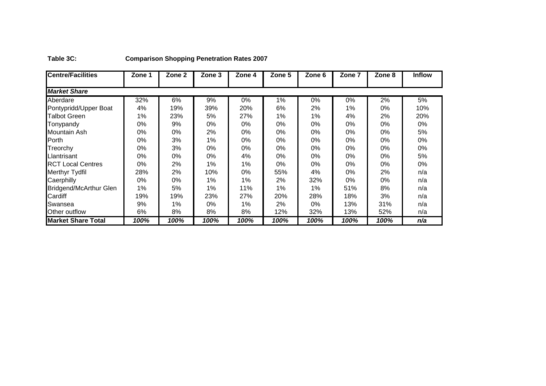| Table 3C: |  |
|-----------|--|
|-----------|--|

# **Table 3C: Comparison Shopping Penetration Rates 2007**

| <b>Centre/Facilities</b>                                                                              | Zone 1 | Zone 2 Zone 3 |      |      | Zone 4 Zone 5 Zone 6 Zone 7 |       |       | Zone8 | <b>Inflow</b> |
|-------------------------------------------------------------------------------------------------------|--------|---------------|------|------|-----------------------------|-------|-------|-------|---------------|
|                                                                                                       |        |               |      |      |                             |       |       |       |               |
| <b>Market Share</b>                                                                                   |        |               |      |      |                             |       |       |       |               |
| Aberdare                                                                                              | - 32%  | .o%           | 9%   |      |                             | 0%    |       | $2\%$ | 5%            |
| Pontypridd/Upper Boat<br>Talbot Green                                                                 | 4%     | 19%           | 39%  | 20%  | 6%                          | 2%    | 170   | 0%    | 10%           |
|                                                                                                       | 1%     | 23%           | 5%   | 27%  | 1%                          | 1%    | 4%    | 2%    | 20%           |
|                                                                                                       | 0%     | 9%            | 0%   | 0%   | 0%                          | 0%    | 0%    | 0%    | 0%            |
| Tonypandy<br>Mountain Ash<br>Porth                                                                    | 0%     | 0%            | 2%   | 0%   | 0%                          | 0%    | 0%    | 0%    | 5%            |
|                                                                                                       | 0%     | 3%            | 1%   | 0%   | 0%                          | $0\%$ | 0%    | 0%    | 0%            |
| Treorchy                                                                                              | 0%     | 3%            | 0%   | 0%   | 0%                          | 0%    | $0\%$ | 0%    | 0%            |
|                                                                                                       | 0%     | 0%            | 0%   | 4%   | 0%                          | $0\%$ | 0%    | 0%    | 5%            |
|                                                                                                       | $0\%$  | 2%            | 1%   | 1%   | 0%                          | 0%    | 0%    | $0\%$ | $0\%$         |
|                                                                                                       | 28%    | 2%            | 10%  | 0%   | 55%                         | 4%    | $0\%$ | 2%    | n/a           |
|                                                                                                       | 0%     | 0%            | 1%   | 1%   | 2%                          | 32%   | 0%    | 0%    | n/a           |
| Llantrisant<br>RCT Local Centres<br>Merthyr Tydfil<br>Caerphilly<br>Bridgend/McArthur Glen<br>Cardiff | $1\%$  | 5%            | 1%   | 11%  | 1%                          | 1%    | 51%   | 8%    | n/a           |
|                                                                                                       | 19%    | 19%           | 23%  | 27%  | 20%                         | 28%   | 18%   | 3%    | n/a           |
| Swansea                                                                                               | 9%     | $1\%$         | 0%   |      | 2%                          | 0%    | 13%   | 31%   | n/a           |
|                                                                                                       | 6%     | 8%            | 8%   | 8%   | 12%                         | 32%   | 13%   | 52%   | n/a           |
| Other outflow<br>Market Share Total                                                                   | 100%   | 100%          | 100% | 100% | 100% 100%                   |       | 100%  | 100%  | n/a           |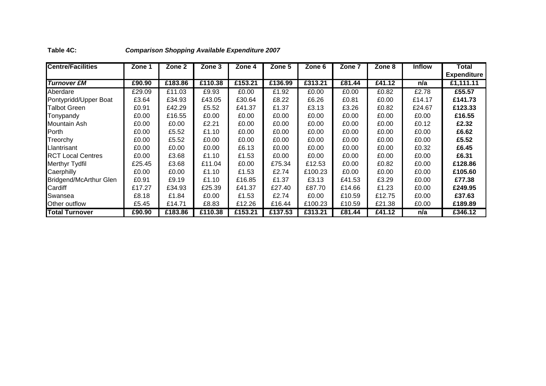| <b>Centre/Facilities</b>                                                                                          | Zone   | Zone 2         | <b>Zone ?</b>   | Zone 4         | Zone 5  | <b>Zone 6</b> | Zone 7                                                                                                | <b>Zone 8</b>                                              | Inflow | <b>Total</b>       |
|-------------------------------------------------------------------------------------------------------------------|--------|----------------|-----------------|----------------|---------|---------------|-------------------------------------------------------------------------------------------------------|------------------------------------------------------------|--------|--------------------|
|                                                                                                                   |        |                |                 |                |         |               |                                                                                                       |                                                            |        | <b>Expenditure</b> |
| <b>Turnover £M</b>                                                                                                | £90.90 | £183.86        | £110.38 £153.21 |                | £136.99 | E313.21       | £81.44                                                                                                | E41.12                                                     | n/a    | £1,111.11          |
| Aberdare                                                                                                          | £29.09 | £11.03         | £9.93           |                | £1.92   | £0.00         | £0.00                                                                                                 | £0.82                                                      |        | £55.57             |
| Pontypridd/Upper Boa<br>Talbot Green                                                                              | £3.64  | £34.93         | £43.05 £30.64   |                | £8.22   | £6.26         | £0.81                                                                                                 | £0.00                                                      | £14.17 | £141.73            |
|                                                                                                                   | £0.91  | £42.29         | £5.52           | £41.37         | £1.37   | £3.13         | £3.26                                                                                                 | £0.82                                                      | £24.67 | £123.33            |
|                                                                                                                   | £0.00  | £16.55         | £0.00           | £0.00          | £0.00   | £0.00         | £0.00                                                                                                 | £0.00                                                      | £0.00  | £16.55             |
|                                                                                                                   | £0.00  | £0.00          | £2.21           | £0.00          | £0.00   | £0.00         | £0.00                                                                                                 | £0.00                                                      | LU. IZ | £2.32              |
| Tonypandy<br>Mountain Ash<br>Porth                                                                                | £0.00  | £5.52          | £1.10           | £0.00          | £0.00   | £0.00         | £0.00                                                                                                 | £0.00                                                      | £0.00  | £6.62              |
|                                                                                                                   | £0.00  | £5.52          | £0.00           | £0.00          | £0.00   | £0.00         | £0.00                                                                                                 | £0.00                                                      | £0.00  | £5.52              |
|                                                                                                                   | £0.00  | £0.00          | £0.00           | £6.13          | £0.00   | £0.00         | £0.00                                                                                                 | £0.00                                                      | £0.32  | £6.45              |
|                                                                                                                   | £0.00  | £3.68          | £1.10           | £1.53          | £0.00   | £0.00         | £0.00                                                                                                 | £0.00                                                      |        | £6.31              |
|                                                                                                                   | £25.45 | £3.68          | £11.04          | £0.00          | £75.34  | £12.53        | £0.00                                                                                                 | £0.82                                                      |        | £128.86            |
|                                                                                                                   | £0.00  | £0.00          | £1.10           | £1.53          | £2.74   | £100.23       | £0.00                                                                                                 | £0.00                                                      |        | £105.60            |
|                                                                                                                   | £0.91  | £9.19          | £1.10           | £16.85         | £1.37   | £3.13         | £41.53                                                                                                | £3.29                                                      |        | £77.38             |
| Treorchy<br>Llantrisant<br>RCT Local Centres<br>Merthyr Tydfil<br>Caerphilly<br>Bridgend/McArthur Glen<br>Cardiff | £17.27 | £34.93         | £25.39 £41.37   |                | £27.40  | £87.70        | £14.66 $\vert$                                                                                        | £1.23                                                      | £0.00  | £249.95            |
| Swansea                                                                                                           | £8.18  | £1.84          | £0.00           | £1.53          | £2.74   | £0.00         | £10.59                                                                                                | $E12.75$                                                   |        | £37.63             |
|                                                                                                                   | £5.45  | £14.71         | £8.83           | £12.26 $\vert$ | £16.44  | £100.23       | £10.59                                                                                                | $\begin{array}{ c c }\n\hline\n\text{£}21.38\n\end{array}$ | £0.00  | £189.89            |
| Other outflow<br>Total Turnover                                                                                   |        | £90.90 £183.86 |                 |                |         |               | $\vert$ £110.38 $\vert$ £153.21 $\vert$ £137.53 $\vert$ £313.21 $\vert$ £81.44 $\vert$ £41.12 $\vert$ |                                                            | n/a    | £346.12            |

**Table 4C: Comparison Shopping Available Expenditure 2007**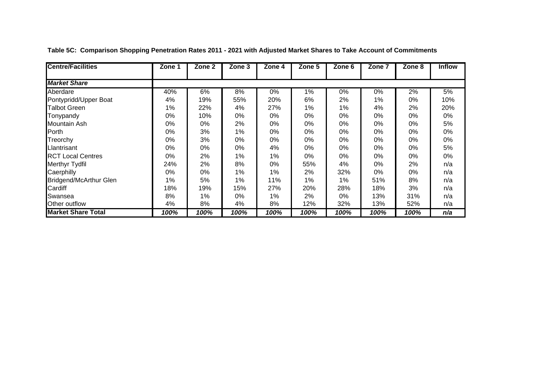| <b>Centre/Facilities</b>                           | Zone 1 | Zone 2 Zone 3 |           | Zone 4          | Zone 5 Zone 6 Zone 7 |                 |                |             | Zone 8 Inflow |
|----------------------------------------------------|--------|---------------|-----------|-----------------|----------------------|-----------------|----------------|-------------|---------------|
| <b>Market Share</b>                                |        |               |           |                 |                      |                 |                |             |               |
| Aberdare                                           | 40%    |               |           |                 |                      |                 |                |             |               |
|                                                    | 4%     | 19%           | EEO/      |                 | 6%                   | $2\%$           |                | 0%          | 10%           |
| Pontypridd/Upper Boat<br>Talbot Green              | 1%     | 22%           | 470       | 27%             | 1%                   | 1%              | 4%             | 2%          | 20%           |
|                                                    | 0%     | 10%           |           | U70             | U%                   | 0%              |                | 0%          | 0%            |
| Tonypandy<br>Mountain Ash                          | 0%     | 0%            | $\sim$ 70 | <b>U70</b>      | U%                   | 0%              |                | 0%          | 5%            |
|                                                    | 0%     | 3%            |           | $\cup$ /0       | U 70                 | U70             |                | 0%          | $0\%$         |
| <sup>-</sup> reorchy                               | $0\%$  | 3%            |           | $\mathsf{U}$ /0 | $U$ /0               | $\mathsf{U}$ /0 |                | $0\%$       | $0\%$         |
|                                                    | $0\%$  | 0%            |           | 4%              | 0/0                  | 0%              |                | 0%          | 5%            |
|                                                    | 0%     | 2%            |           |                 | U%                   | 0%              |                | 0%          | 0%            |
| Llantrisant<br>RCT Local Centres<br>Merthyr Tydfil | 24%    | 2%            | O70       | $U$ 70          | 55%                  | 4%              |                | $\angle$ /0 | n/a           |
|                                                    | 0%     | 0%            |           |                 | 270                  | 32%             |                | 0%          | n/a           |
| Caerphilly<br>Bridgend/McArthur Glen               | 1%     | 5%            |           |                 | 1%                   | 1%              |                | 8%          | n/a           |
|                                                    | 18%    | 19%           | 15%       | 21/0            | 20%                  | 28%             |                | -570        | n/a           |
| ຣwansea                                            | 8%     | 170           |           |                 |                      | $\Omega$        |                | 31%         | n/a           |
| Other outflow                                      | 4%     |               |           |                 | 100/                 | 32%             |                | 52%         | n/a           |
| <b>Market Share Total</b>                          | 100%   | 100%          | 100%      | 100%            | 100%                 |                 | 100% 100% 100% |             | n/a           |

**Table 5C: Comparison Shopping Penetration Rates 2011 - 2021 with Adjusted Market Shares to Take Account of Commitments**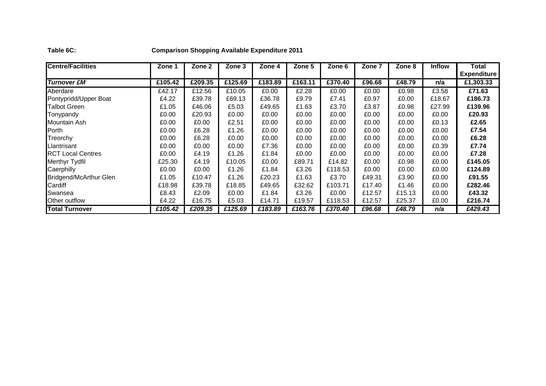| Table 6C: |  |
|-----------|--|
|-----------|--|

**Table 6C: Comparison Shopping Available Expenditure 2011**

| <b>Centre/Facilities</b>                                                                                                                                                                                                                | Zone 1               | Zone 2                                                                                                                                                               | <b>Zone 3</b>                                                                                                                                       | <b>Zone 4</b> | $\vert$ Zone 5 |                                                                                                              | Zone 6 Zone 7   | <b>Zone 8</b> | Inflow                          | <b>Total</b>       |
|-----------------------------------------------------------------------------------------------------------------------------------------------------------------------------------------------------------------------------------------|----------------------|----------------------------------------------------------------------------------------------------------------------------------------------------------------------|-----------------------------------------------------------------------------------------------------------------------------------------------------|---------------|----------------|--------------------------------------------------------------------------------------------------------------|-----------------|---------------|---------------------------------|--------------------|
|                                                                                                                                                                                                                                         |                      |                                                                                                                                                                      |                                                                                                                                                     |               |                |                                                                                                              |                 |               |                                 | <b>Expenditure</b> |
| <b>Turnover £M</b>                                                                                                                                                                                                                      | £105.42              |                                                                                                                                                                      | $\begin{array}{ c c c c c c c c c } \hline \text{\textsterling}209.35 & \text{\textsterling}125.69 & \text{\textsterling}183.89 \hline \end{array}$ |               |                | $\vert$ £163.11   £370.40                                                                                    | £96.68          | £48.79        | n/a                             | £1,303.33          |
|                                                                                                                                                                                                                                         | £42.17               | £12.56 $\vert$                                                                                                                                                       | £10.05                                                                                                                                              | £0.00         | £2.28          | £0.00                                                                                                        | £0.00           | £0.98         | £3.58                           | £71.63             |
|                                                                                                                                                                                                                                         | £4.22                |                                                                                                                                                                      |                                                                                                                                                     |               |                | £7.41                                                                                                        | £0.97           | £0.00         | E0.00 E18.67<br>E0.98 E27.99    | £186.73            |
|                                                                                                                                                                                                                                         | £1.05                |                                                                                                                                                                      |                                                                                                                                                     |               |                |                                                                                                              | £3.70 £3.87     |               |                                 | £139.96            |
|                                                                                                                                                                                                                                         | £0.00                |                                                                                                                                                                      |                                                                                                                                                     |               |                | $E0.00$ $E0.00$ $E0.00$ $E0.00$                                                                              |                 |               |                                 | £20.93             |
|                                                                                                                                                                                                                                         | £0.00                |                                                                                                                                                                      |                                                                                                                                                     |               |                |                                                                                                              | £0.00 £0.00     | E0.00         | E0.13                           | £2.65              |
|                                                                                                                                                                                                                                         | £0.00                |                                                                                                                                                                      |                                                                                                                                                     |               |                |                                                                                                              |                 |               | $E0.00$ $E0.00$ $E0.00$ $E0.00$ | £7.54              |
|                                                                                                                                                                                                                                         | £0.00                | E39.78 E69.13 E36.78 E9.79<br>E46.06 E5.03 E49.65 E1.63<br>E20.93 E0.00 E0.00 E0.00<br>E6.28 E1.26 E0.00 E0.00<br>E6.28 E1.26 E0.00 E0.00<br>E6.28 E0.00 E0.00 E0.00 |                                                                                                                                                     |               |                | £0.00                                                                                                        | £0.00           | £0.00         | E0.00                           | £6.28              |
|                                                                                                                                                                                                                                         | £0.00                | £0.00                                                                                                                                                                | £0.00                                                                                                                                               | £7.36 £0.00   |                | £0.00                                                                                                        | £0.00           | £0.00         | E0.39                           | £7.74              |
| Tamover 2. M<br>Aberdare<br>Pontypridd/Upper Boat<br>Talbot Green<br>Tonypandy<br>Mountain Ash<br>Porth<br>Treorchy<br>Llantrisant<br>RCT Local Centres<br>Merthyr Tydfil<br>Caerphilly<br>Bridgend/McArthur Glen<br>Cardiff<br>Cardiff | £0.00                | £4.19 $\blacksquare$                                                                                                                                                 | £1.26 $\blacksquare$                                                                                                                                | £1.84         | £0.00          | £0.00                                                                                                        | £0.00           | £0.00         | E0.00                           | £7.28              |
|                                                                                                                                                                                                                                         | £25.30               | £4.19 $\blacksquare$                                                                                                                                                 | £10.05                                                                                                                                              | £0.00         | E89.71         |                                                                                                              | £14.82    £0.00 | £0.98         | $\left  \right $ £0.00          | £145.05            |
|                                                                                                                                                                                                                                         | £0.00                | £0.00                                                                                                                                                                | £1.26                                                                                                                                               |               |                |                                                                                                              |                 | £0.00         | E0.00                           | £124.89            |
|                                                                                                                                                                                                                                         | £1.05                |                                                                                                                                                                      |                                                                                                                                                     |               |                | E10.47 E1.26 E20.23 E1.63 E3.70 E49.31 E3.90 E0.00<br>E39.78 E18.85 E49.65 E32.62 E103.71 E17.40 E1.46 E0.00 |                 |               |                                 | £91.55             |
|                                                                                                                                                                                                                                         | £18.98               |                                                                                                                                                                      |                                                                                                                                                     |               |                |                                                                                                              |                 |               |                                 | £282.46            |
|                                                                                                                                                                                                                                         | £8.43                |                                                                                                                                                                      |                                                                                                                                                     |               |                |                                                                                                              |                 |               |                                 | £43.32             |
| Swansea<br>Other outflow                                                                                                                                                                                                                | £4.22                |                                                                                                                                                                      |                                                                                                                                                     |               |                | E2.09 E0.00 E1.84 E3.26 E0.00 E12.57 E15.13 E0.00<br>E16.75 E5.03 E14.71 E19.57 E118.53 E12.57 E25.37 E0.00  |                 |               |                                 | £216.74            |
| <b>Total Turnover</b>                                                                                                                                                                                                                   | $\sqrt{2105.42}$ $f$ |                                                                                                                                                                      |                                                                                                                                                     |               |                | £209.35   £125.69   £183.89   £163.76   £370.40   £96.68   £48.79   n/a                                      |                 |               |                                 | £429.43            |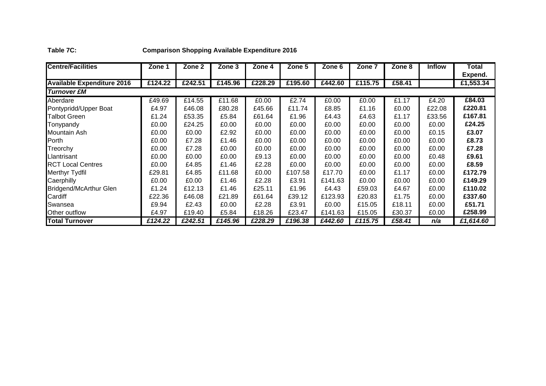| <b>Centre/Facilities</b>                       | Zone 1               | Zone 2  | Zone 3 |        |                                                                                      |         |         |        |               |               |
|------------------------------------------------|----------------------|---------|--------|--------|--------------------------------------------------------------------------------------|---------|---------|--------|---------------|---------------|
|                                                |                      |         |        | Zone 4 | Zone 5                                                                               | Zone 6  | Zone 7  | Zone 8 | <b>Inflow</b> | <b>Total</b>  |
|                                                |                      |         |        |        |                                                                                      |         |         |        |               | <b>Expend</b> |
| Available Expenditure 2016   £124.22   £242.51 |                      |         |        |        | $£145.96$ £228.29 £195.60                                                            | £442.60 | E115.75 | £58.41 |               | £1,553.34     |
| <b>Turnover £M</b>                             |                      |         |        |        |                                                                                      |         |         |        |               |               |
| Aberdare                                       | £49.69               |         |        |        |                                                                                      |         |         |        | £4.20         | £84.03        |
| Pontypridd/Upper Boat                          | £4.97                | £46.08  | £80.28 | £45.66 | £11.74                                                                               | £8.85   | £1.16   | £0.00  | £22.08        | £220.81       |
| <b>Talbot Green</b>                            | £1.24                | £53.35  | £5.84  | £61.64 | £1.96                                                                                | £4.43   | £4.63   | £1.17  | £33.56        | £167.81       |
|                                                | £0.00                | £24.25  | £0.00  | £0.00  | £0.00                                                                                | £0.00   | £0.00   | £0.00  | £0.00         | £24.25        |
| Tonypandy<br>Mountain Ash                      | £0.00                | £0.00   | £2.92  | £0.00  | £0.00                                                                                | £0.00   | £0.00   | £0.00  | £0.15         | £3.07         |
| Porth                                          | £0.00                | £7.28   | £1.46  | £0.00  | £0.00                                                                                | £0.00   | £0.00   | £0.00  | £0.00         | £8.73         |
| Treorchy                                       | £0.00                | £7.28   | £0.00  | £0.00  | £0.00                                                                                | £0.00   | £0.00   | £0.00  | £0.00         | £7.28         |
| Llantrisant                                    | £0.00                | £0.00   | £0.00  | £9.13  | £0.00                                                                                | £0.00   | £0.00   | £0.00  | £0.48         | £9.61         |
| <b>RCT Local Centres</b>                       | £0.00                | £4.85   | £1.46  | £2.28  | £0.00                                                                                | £0.00   | £0.00   | £0.00  | £0.00         | £8.59         |
| Merthyr Tydfil                                 | £29.81               | £4.85   | £11.68 | £0.00  | £107.58                                                                              | £17.70  | £0.00   | £1.17  | £0.00         | £172.79       |
| Caerphilly                                     | £0.00                | £0.00   | £1.46  | £2.28  | £3.91                                                                                | £141.63 | £0.00   | £0.00  | £0.00         | £149.29       |
| Bridgend/McArthur Glen                         | £1.24                |         | £1.46  | £25.11 | £1.96                                                                                | £4.43   | £59.03  | £4.67  | £0.00         | £110.02       |
| Cardiff                                        | £22.36               | £46.08  | £21.89 | £61.64 | £39.12                                                                               | £123.93 | £20.83  | £1.75  | £0.00         | £337.60       |
|                                                | £9.94                | £2.43   | £0.00  | £2.28  | £3.91                                                                                | £0.00   | £15.05  | £18.11 | £0.00         | £51.71        |
| Swansea<br>Other outflow                       | £4.97                | £19.40  | £5.84  | £18.26 | £23.47                                                                               | £141.63 | £15.05  | £30.37 | £0.00         | £258.99       |
| <b>Total Turnover</b>                          | $\overline{£124.22}$ | £242.51 |        |        | $\lceil$ £145.96 $\lceil$ £228.29 $\lceil$ £196.38 $\lceil$ £442.60 $\lceil$ £115.75 |         |         | £58.41 | n/a           | £1,614.60     |

# **Table 7C: Comparison Shopping Available Expenditure 2016**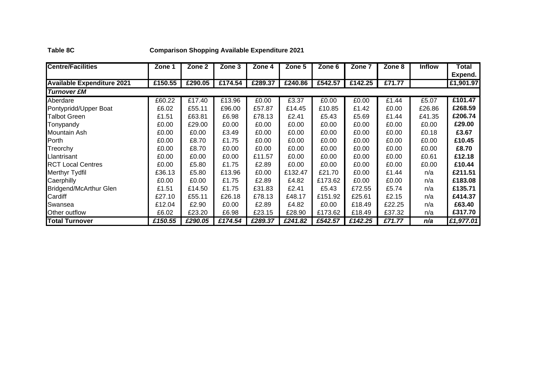# **Table 8C Comparison Shopping Available Expenditure 2021**

| <b>Centre/Facilities</b>                                                                                          |                                                                              | Zone 1 $\vert$ Zone 2 | <b>Zone 3</b>               | Zone 4 | <b>Zone 5</b>                                           | $\mathsf{Zone}\,6$                                                   | $\overline{Z}$ One 7 | Zone 8                                                                       | Infiow | <b>Total</b>          |
|-------------------------------------------------------------------------------------------------------------------|------------------------------------------------------------------------------|-----------------------|-----------------------------|--------|---------------------------------------------------------|----------------------------------------------------------------------|----------------------|------------------------------------------------------------------------------|--------|-----------------------|
|                                                                                                                   |                                                                              |                       |                             |        |                                                         |                                                                      |                      |                                                                              |        | Expend.               |
| <b>Available Expenditure 2021</b>                                                                                 | E150.55   E290.05   E174.54   E289.37   E240.86   E542.57   E142.25   E71.77 |                       |                             |        |                                                         |                                                                      |                      |                                                                              |        | £1,901.97             |
| <b>Turnover £M</b>                                                                                                |                                                                              |                       |                             |        |                                                         |                                                                      |                      |                                                                              |        |                       |
| Aberdare                                                                                                          | £60.22                                                                       |                       |                             | £0.00  |                                                         | £0.00                                                                |                      | £1.44                                                                        | £5.07  | £101.47               |
|                                                                                                                   | £6.02 $\blacksquare$                                                         |                       | £55.11   £96.00   £57.87    |        | £14.45 £10.85                                           |                                                                      | £1.42                | £0.00                                                                        |        | £26.86 <b>£268.59</b> |
| Pontypridd/Upper Boat<br>Talbot Green                                                                             | £1.51 $\blacksquare$                                                         | £63.81                | £6.98    £78.13             |        |                                                         | £2.41 <b>£5.43</b>                                                   | E5.69                | £1.44                                                                        |        | £41.35 <b>£206.74</b> |
|                                                                                                                   |                                                                              | £0.00 £29.00          | $E0.00$ $E0.00$             |        | £0.00                                                   | £0.00                                                                | £0.00                | £0.00                                                                        | £0.00  | £29.00                |
| Tonypandy<br>Mountain Ash                                                                                         | £0.00                                                                        |                       | £0.00 £3.49 £0.00           |        | £0.00                                                   | £0.00                                                                | £0.00                | £0.00                                                                        | £0.18  | £3.67                 |
| Porth                                                                                                             | £0.00                                                                        | £8.70                 | £1.75 £0.00                 |        |                                                         | £0.00 £0.00                                                          | £0.00                | £0.00                                                                        | £0.00  | £10.45                |
|                                                                                                                   | £0.00                                                                        | £8.70                 | £0.00 £0.00                 |        | £0.00                                                   | £0.00                                                                | £0.00                | £0.00                                                                        | £0.00  | £8.70                 |
|                                                                                                                   | £0.00                                                                        | £0.00                 | £0.00 £11.57                |        | £0.00                                                   | £0.00                                                                | £0.00                | £0.00                                                                        | £0.61  | £12.18                |
|                                                                                                                   | £0.00                                                                        | £5.80                 | £1.75 £2.89                 |        | £0.00                                                   | £0.00                                                                | £0.00                | £0.00                                                                        | £0.00  | £10.44                |
| Treorchy<br>Llantrisant<br>RCT Local Centres<br>Merthyr Tydfil<br>Caerphilly<br>Bridgend/McArthur Glen<br>Cardiff |                                                                              |                       |                             |        | £36.13    E5.80    E13.96    E0.00    E132.47    E21.70 |                                                                      | £0.00                | £1.44                                                                        | n/a    | £211.51               |
|                                                                                                                   | £0.00                                                                        |                       | £0.00 £1.75 £2.89           |        |                                                         | £4.82    £173.62    £0.00                                            |                      | £0.00                                                                        | n/a    | £183.08               |
|                                                                                                                   | £1.51 $\blacksquare$                                                         |                       | £14.50 £1.75 £31.83         |        |                                                         | £2.41    E5.43    E72.55                                             |                      | £5.74                                                                        | n/a    | £135.71               |
|                                                                                                                   |                                                                              |                       | £27.10 £55.11 £26.18 £78.13 |        | £48.17 £151.92 £25.61                                   |                                                                      |                      | £2.15                                                                        | n/a    | £414.37               |
| Swansea                                                                                                           | £12.04   £2.90                                                               |                       | £0.00 £2.89                 |        |                                                         | £4.82 $\begin{array}{ c c c c c } \hline \text{£0.00} & \end{array}$ | £18.49               | £22.25                                                                       | n/a    | £63.40                |
| Other outflow                                                                                                     | £6.02                                                                        |                       | £23.20 £6.98 £23.15         |        | £28.90 £173.62 £18.49                                   |                                                                      |                      | £37.32                                                                       | n/a    | £317.70               |
| <b>Total Turnover</b>                                                                                             |                                                                              |                       |                             |        |                                                         |                                                                      |                      | £150.55   £290.05   £174.54   £289.37   £241.82   £542.57   £142.25   £71.77 |        | $n/a$ £1,977.01       |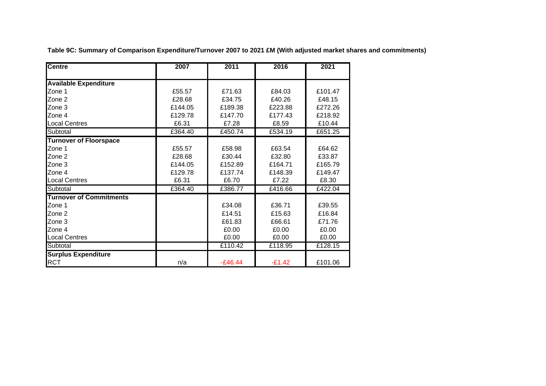| <b>Centre</b>                                       | 2007    | 2011      | 2016     | 2021    |
|-----------------------------------------------------|---------|-----------|----------|---------|
| <b>Available Expenditure</b>                        |         |           |          |         |
| Zone <sup>-</sup>                                   | £55.57  | £71.63    | £84.03   | £101.47 |
| Zone 2                                              | £28.68  | £34.75    | £40.26   | £48.15  |
| Zone 3                                              | £144.05 | £189.38   | £223.88  | £272.26 |
| Zone 4                                              | £129.78 | £147.70   | £177.43  | £218.92 |
|                                                     | £6.31   | £7.28     | £8.59    | £10.44  |
|                                                     | £364.40 | £450.74   | £534.19  | £651.25 |
| Local Centres<br>Subtotal<br>Turnover of Floorspace |         |           |          |         |
| Zone <sup>-</sup>                                   | £55.57  | £58.98    | £63.54   | £64.62  |
| Zone 2                                              | £28.68  | £30.44    | £32.80   | £33.87  |
| Zone 3                                              | £144.05 | £152.89   | £164.71  | £165.79 |
| Zone 4                                              | £129.78 | £137.74   | £148.39  | £149.47 |
|                                                     | £6.31   | £6.70     | £7.22    | £8.30   |
| Local Centres<br>Subtotal                           | £364.40 | £386.77   | £416.66  | £422.04 |
| <b>Turnover of Commitments</b>                      |         |           |          |         |
|                                                     |         | £34.08    | £36.71   | £39.55  |
| Zone 1<br>Zone 2                                    |         | £14.51    | £15.63   | £16.84  |
| Zone 3                                              |         | £61.83    | £66.61   | £71.76  |
| Zone 4                                              |         | £0.00     | £0.00    | £0.00   |
| <b>Local Centres</b>                                |         | £0.00     | £0.00    | £0.00   |
| Subtotal                                            |         | £110.42   | £118.95  | £128.15 |
| Surplus Expenditure                                 |         |           |          |         |
| <b>RCT</b>                                          | n/a     | $-£46.44$ | $-E1.42$ | £101.06 |

**Table 9C: Summary of Comparison Expenditure/Turnover 2007 to 2021 £M (With adjusted market shares and commitments)**